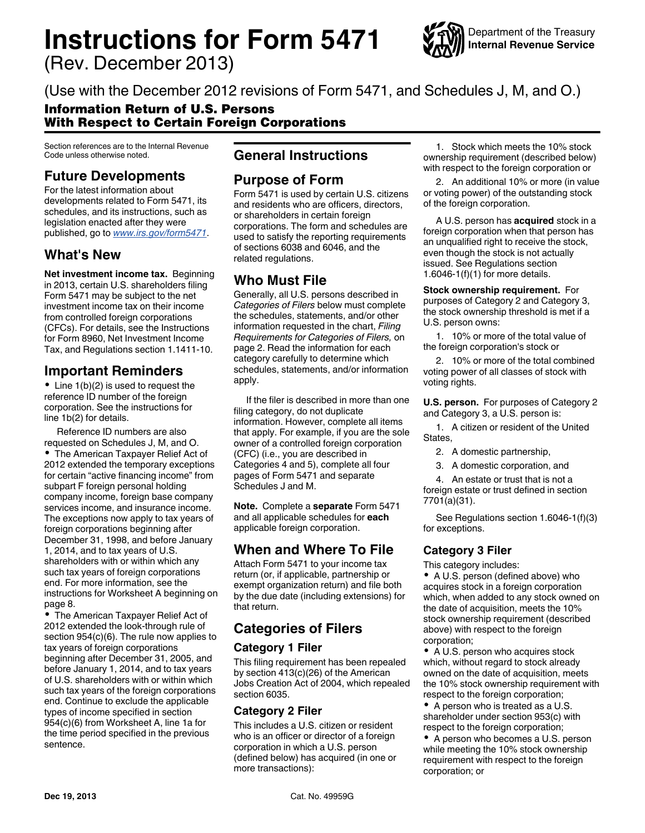# **Instructions for Form 5471**

(Rev. December 2013)



(Use with the December 2012 revisions of Form 5471, and Schedules J, M, and O.)

### Information Return of U.S. Persons With Respect to Certain Foreign Corporations

Section references are to the Internal Revenue Code unless otherwise noted.

# **Future Developments**

For the latest information about developments related to Form 5471, its schedules, and its instructions, such as legislation enacted after they were published, go to *[www.irs.gov/form5471](http://www.irs.gov/form5471)*.

# **What's New**

**Net investment income tax.** Beginning in 2013, certain U.S. shareholders filing Form 5471 may be subject to the net investment income tax on their income from controlled foreign corporations (CFCs). For details, see the Instructions for Form 8960, Net Investment Income Tax, and Regulations section 1.1411-10.

# **Important Reminders**

 $\bullet$  Line 1(b)(2) is used to request the reference ID number of the foreign corporation. See the instructions for line 1b(2) for details.

Reference ID numbers are also requested on Schedules J, M, and O. The American Taxpayer Relief Act of 2012 extended the temporary exceptions for certain "active financing income" from subpart F foreign personal holding company income, foreign base company services income, and insurance income. The exceptions now apply to tax years of foreign corporations beginning after December 31, 1998, and before January 1, 2014, and to tax years of U.S. shareholders with or within which any such tax years of foreign corporations end. For more information, see the instructions for Worksheet A beginning on page 8.

The American Taxpayer Relief Act of 2012 extended the look-through rule of section 954(c)(6). The rule now applies to tax years of foreign corporations beginning after December 31, 2005, and before January 1, 2014, and to tax years of U.S. shareholders with or within which such tax years of the foreign corporations end. Continue to exclude the applicable types of income specified in section 954(c)(6) from Worksheet A, line 1a for the time period specified in the previous sentence.

## **General Instructions**

### **Purpose of Form**

Form 5471 is used by certain U.S. citizens and residents who are officers, directors, or shareholders in certain foreign corporations. The form and schedules are used to satisfy the reporting requirements of sections 6038 and 6046, and the related regulations.

### **Who Must File**

Generally, all U.S. persons described in *Categories of Filers* below must complete the schedules, statements, and/or other information requested in the chart, *Filing Requirements for Categories of Filers,* on page 2. Read the information for each category carefully to determine which schedules, statements, and/or information apply.

If the filer is described in more than one filing category, do not duplicate information. However, complete all items that apply. For example, if you are the sole owner of a controlled foreign corporation (CFC) (i.e., you are described in Categories 4 and 5), complete all four pages of Form 5471 and separate Schedules J and M.

**Note.** Complete a **separate** Form 5471 and all applicable schedules for **each**  applicable foreign corporation.

# **When and Where To File**

Attach Form 5471 to your income tax return (or, if applicable, partnership or exempt organization return) and file both by the due date (including extensions) for that return.

# **Categories of Filers**

### **Category 1 Filer**

This filing requirement has been repealed by section 413(c)(26) of the American Jobs Creation Act of 2004, which repealed section 6035.

### **Category 2 Filer**

This includes a U.S. citizen or resident who is an officer or director of a foreign corporation in which a U.S. person (defined below) has acquired (in one or more transactions):

1. Stock which meets the 10% stock ownership requirement (described below) with respect to the foreign corporation or

2. An additional 10% or more (in value or voting power) of the outstanding stock of the foreign corporation.

A U.S. person has **acquired** stock in a foreign corporation when that person has an unqualified right to receive the stock, even though the stock is not actually issued. See Regulations section 1.6046-1(f)(1) for more details.

**Stock ownership requirement.** For purposes of Category 2 and Category 3, the stock ownership threshold is met if a U.S. person owns:

1. 10% or more of the total value of the foreign corporation's stock or

2. 10% or more of the total combined voting power of all classes of stock with voting rights.

**U.S. person.** For purposes of Category 2 and Category 3, a U.S. person is:

1. A citizen or resident of the United States,

- 2. A domestic partnership,
- 3. A domestic corporation, and

4. An estate or trust that is not a foreign estate or trust defined in section 7701(a)(31).

See Regulations section 1.6046-1(f)(3) for exceptions.

### **Category 3 Filer**

This category includes:

• A U.S. person (defined above) who acquires stock in a foreign corporation which, when added to any stock owned on the date of acquisition, meets the 10% stock ownership requirement (described above) with respect to the foreign corporation;

• A U.S. person who acquires stock which, without regard to stock already owned on the date of acquisition, meets the 10% stock ownership requirement with respect to the foreign corporation;

• A person who is treated as a U.S. shareholder under section 953(c) with respect to the foreign corporation;

• A person who becomes a U.S. person while meeting the 10% stock ownership requirement with respect to the foreign corporation; or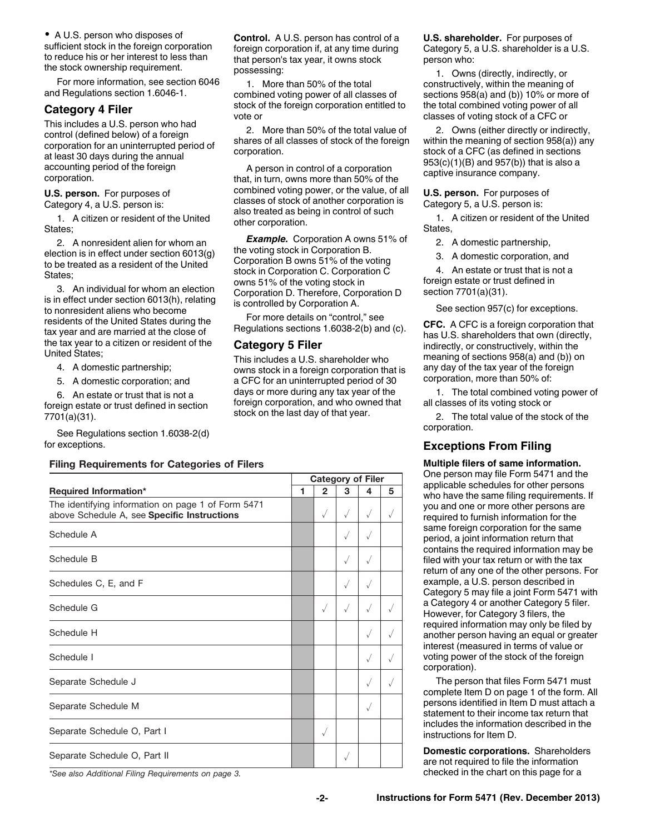A U.S. person who disposes of sufficient stock in the foreign corporation to reduce his or her interest to less than the stock ownership requirement.

For more information, see section 6046 and Regulations section 1.6046-1.

### **Category 4 Filer**

This includes a U.S. person who had control (defined below) of a foreign corporation for an uninterrupted period of at least 30 days during the annual accounting period of the foreign corporation.

#### **U.S. person.** For purposes of Category 4, a U.S. person is:

1. A citizen or resident of the United States;

2. A nonresident alien for whom an election is in effect under section 6013(g) to be treated as a resident of the United States;

3. An individual for whom an election is in effect under section 6013(h), relating to nonresident aliens who become residents of the United States during the tax year and are married at the close of the tax year to a citizen or resident of the United States;

- 4. A domestic partnership;
- 5. A domestic corporation; and

6. An estate or trust that is not a foreign estate or trust defined in section 7701(a)(31).

See Regulations section 1.6038-2(d) for exceptions.

#### **Filing Requirements for Categories of Filers**

|                                                                                                   |   |                |              | <b>Category of Filer</b> |   |
|---------------------------------------------------------------------------------------------------|---|----------------|--------------|--------------------------|---|
| <b>Required Information*</b>                                                                      | 1 | $\overline{2}$ | 3            | 4                        | 5 |
| The identifying information on page 1 of Form 5471<br>above Schedule A, see Specific Instructions |   | √              | $\sqrt{}$    | $\sqrt{}$                |   |
| Schedule A                                                                                        |   |                | $\checkmark$ | $\checkmark$             |   |
| Schedule B                                                                                        |   |                | $\sqrt{}$    | √                        |   |
| Schedules C, E, and F                                                                             |   |                | $\sqrt{}$    | $\sqrt{}$                |   |
| Schedule G                                                                                        |   |                | $\sqrt{}$    | √                        |   |
| Schedule H                                                                                        |   |                |              | $\sqrt{}$                |   |
| Schedule I                                                                                        |   |                |              |                          |   |
| Separate Schedule J                                                                               |   |                |              |                          |   |
| Separate Schedule M                                                                               |   |                |              | √                        |   |
| Separate Schedule O, Part I                                                                       |   |                |              |                          |   |
| Separate Schedule O, Part II                                                                      |   |                | $\checkmark$ |                          |   |

**Control.** A U.S. person has control of a foreign corporation if, at any time during that person's tax year, it owns stock possessing:

1. More than 50% of the total combined voting power of all classes of stock of the foreign corporation entitled to vote or

2. More than 50% of the total value of shares of all classes of stock of the foreign corporation.

A person in control of a corporation that, in turn, owns more than 50% of the combined voting power, or the value, of all classes of stock of another corporation is also treated as being in control of such other corporation.

*Example.* Corporation A owns 51% of the voting stock in Corporation B. Corporation B owns 51% of the voting stock in Corporation C. Corporation C owns 51% of the voting stock in Corporation D. Therefore, Corporation D is controlled by Corporation A.

For more details on "control," see Regulations sections 1.6038-2(b) and (c).

#### **Category 5 Filer**

This includes a U.S. shareholder who owns stock in a foreign corporation that is a CFC for an uninterrupted period of 30 days or more during any tax year of the foreign corporation, and who owned that stock on the last day of that year.

**U.S. shareholder.** For purposes of Category 5, a U.S. shareholder is a U.S. person who:

1. Owns (directly, indirectly, or constructively, within the meaning of sections 958(a) and (b)) 10% or more of the total combined voting power of all classes of voting stock of a CFC or

2. Owns (either directly or indirectly, within the meaning of section 958(a)) any stock of a CFC (as defined in sections 953(c)(1)(B) and 957(b)) that is also a captive insurance company.

**U.S. person.** For purposes of Category 5, a U.S. person is:

1. A citizen or resident of the United States,

2. A domestic partnership,

3. A domestic corporation, and

4. An estate or trust that is not a foreign estate or trust defined in section 7701(a)(31).

See section 957(c) for exceptions.

**CFC.** A CFC is a foreign corporation that has U.S. shareholders that own (directly, indirectly, or constructively, within the meaning of sections 958(a) and (b)) on any day of the tax year of the foreign corporation, more than 50% of:

1. The total combined voting power of all classes of its voting stock or

2. The total value of the stock of the corporation.

### **Exceptions From Filing**

**Multiple filers of same information.**  One person may file Form 5471 and the applicable schedules for other persons who have the same filing requirements. If you and one or more other persons are required to furnish information for the same foreign corporation for the same period, a joint information return that contains the required information may be filed with your tax return or with the tax return of any one of the other persons. For example, a U.S. person described in Category 5 may file a joint Form 5471 with a Category 4 or another Category 5 filer. However, for Category 3 filers, the required information may only be filed by another person having an equal or greater interest (measured in terms of value or voting power of the stock of the foreign corporation).

The person that files Form 5471 must complete Item D on page 1 of the form. All persons identified in Item D must attach a statement to their income tax return that includes the information described in the instructions for Item D.

**Domestic corporations.** Shareholders are not required to file the information checked in the chart on this page for a

*\*See also Additional Filing Requirements on page 3.*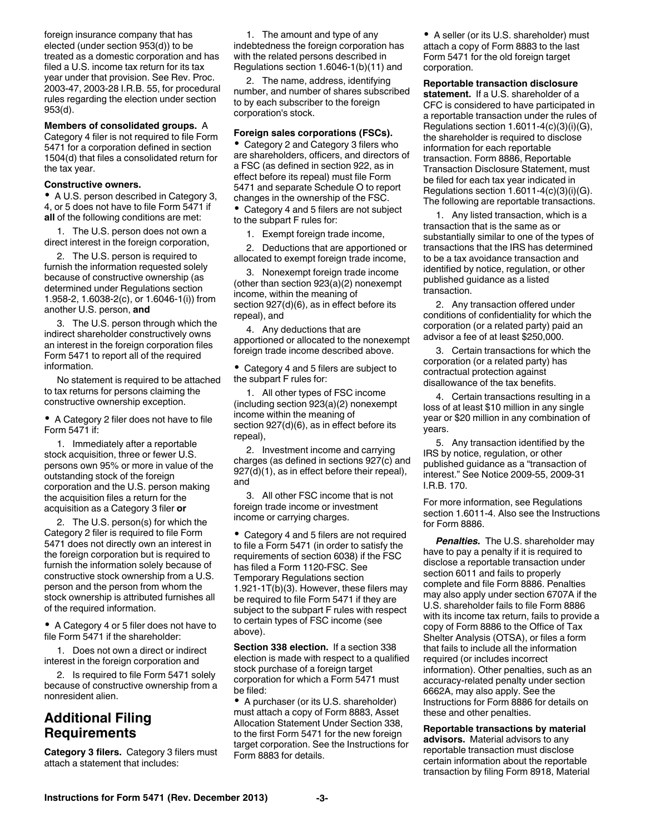foreign insurance company that has elected (under section 953(d)) to be treated as a domestic corporation and has filed a U.S. income tax return for its tax year under that provision. See Rev. Proc. 2003-47, 2003-28 I.R.B. 55, for procedural rules regarding the election under section 953(d).

#### **Members of consolidated groups.** A

Category 4 filer is not required to file Form 5471 for a corporation defined in section 1504(d) that files a consolidated return for the tax year.

#### **Constructive owners.**

A U.S. person described in Category 3, 4, or 5 does not have to file Form 5471 if **all** of the following conditions are met:

1. The U.S. person does not own a direct interest in the foreign corporation,

2. The U.S. person is required to furnish the information requested solely because of constructive ownership (as determined under Regulations section 1.958-2, 1.6038-2(c), or 1.6046-1(i)) from another U.S. person, **and**

3. The U.S. person through which the indirect shareholder constructively owns an interest in the foreign corporation files Form 5471 to report all of the required information.

No statement is required to be attached to tax returns for persons claiming the constructive ownership exception.

A Category 2 filer does not have to file Form 5471 if:

1. Immediately after a reportable stock acquisition, three or fewer U.S. persons own 95% or more in value of the outstanding stock of the foreign corporation and the U.S. person making the acquisition files a return for the acquisition as a Category 3 filer **or**

2. The U.S. person(s) for which the Category 2 filer is required to file Form 5471 does not directly own an interest in the foreign corporation but is required to furnish the information solely because of constructive stock ownership from a U.S. person and the person from whom the stock ownership is attributed furnishes all of the required information.

A Category 4 or 5 filer does not have to file Form 5471 if the shareholder:

1. Does not own a direct or indirect interest in the foreign corporation and

2. Is required to file Form 5471 solely because of constructive ownership from a nonresident alien.

# **Additional Filing Requirements**

**Category 3 filers.** Category 3 filers must attach a statement that includes:

1. The amount and type of any indebtedness the foreign corporation has with the related persons described in Regulations section 1.6046-1(b)(11) and

2. The name, address, identifying number, and number of shares subscribed to by each subscriber to the foreign corporation's stock.

#### **Foreign sales corporations (FSCs).**

Category 2 and Category 3 filers who are shareholders, officers, and directors of a FSC (as defined in section 922, as in effect before its repeal) must file Form 5471 and separate Schedule O to report changes in the ownership of the FSC. Category 4 and 5 filers are not subject to the subpart F rules for:

1. Exempt foreign trade income,

2. Deductions that are apportioned or allocated to exempt foreign trade income,

3. Nonexempt foreign trade income (other than section 923(a)(2) nonexempt income, within the meaning of section 927(d)(6), as in effect before its repeal), and

4. Any deductions that are apportioned or allocated to the nonexempt foreign trade income described above.

Category 4 and 5 filers are subject to the subpart F rules for:

1. All other types of FSC income (including section 923(a)(2) nonexempt income within the meaning of section 927(d)(6), as in effect before its repeal),

2. Investment income and carrying charges (as defined in sections 927(c) and 927(d)(1), as in effect before their repeal), and

3. All other FSC income that is not foreign trade income or investment income or carrying charges.

Category 4 and 5 filers are not required to file a Form 5471 (in order to satisfy the requirements of section 6038) if the FSC has filed a Form 1120-FSC. See Temporary Regulations section 1.921-1T(b)(3). However, these filers may be required to file Form 5471 if they are subject to the subpart F rules with respect to certain types of FSC income (see above).

**Section 338 election.** If a section 338 election is made with respect to a qualified stock purchase of a foreign target corporation for which a Form 5471 must be filed:

• A purchaser (or its U.S. shareholder) must attach a copy of Form 8883, Asset Allocation Statement Under Section 338, to the first Form 5471 for the new foreign target corporation. See the Instructions for Form 8883 for details.

A seller (or its U.S. shareholder) must attach a copy of Form 8883 to the last Form 5471 for the old foreign target corporation.

**Reportable transaction disclosure statement.** If a U.S. shareholder of a CFC is considered to have participated in a reportable transaction under the rules of Regulations section  $1.6011 - 4(c)(3)(i)(G)$ , the shareholder is required to disclose information for each reportable transaction. Form 8886, Reportable Transaction Disclosure Statement, must be filed for each tax year indicated in Regulations section  $1.6011-4(c)(3)(i)(G)$ . The following are reportable transactions.

1. Any listed transaction, which is a transaction that is the same as or substantially similar to one of the types of transactions that the IRS has determined to be a tax avoidance transaction and identified by notice, regulation, or other published guidance as a listed transaction.

2. Any transaction offered under conditions of confidentiality for which the corporation (or a related party) paid an advisor a fee of at least \$250,000.

3. Certain transactions for which the corporation (or a related party) has contractual protection against disallowance of the tax benefits.

4. Certain transactions resulting in a loss of at least \$10 million in any single year or \$20 million in any combination of years.

5. Any transaction identified by the IRS by notice, regulation, or other published guidance as a "transaction of interest." See Notice 2009-55, 2009-31 I.R.B. 170.

For more information, see Regulations section 1.6011-4. Also see the Instructions for Form 8886.

*Penalties.* The U.S. shareholder may have to pay a penalty if it is required to disclose a reportable transaction under section 6011 and fails to properly complete and file Form 8886. Penalties may also apply under section 6707A if the U.S. shareholder fails to file Form 8886 with its income tax return, fails to provide a copy of Form 8886 to the Office of Tax Shelter Analysis (OTSA), or files a form that fails to include all the information required (or includes incorrect information). Other penalties, such as an accuracy-related penalty under section 6662A, may also apply. See the Instructions for Form 8886 for details on these and other penalties.

**Reportable transactions by material advisors.** Material advisors to any reportable transaction must disclose certain information about the reportable transaction by filing Form 8918, Material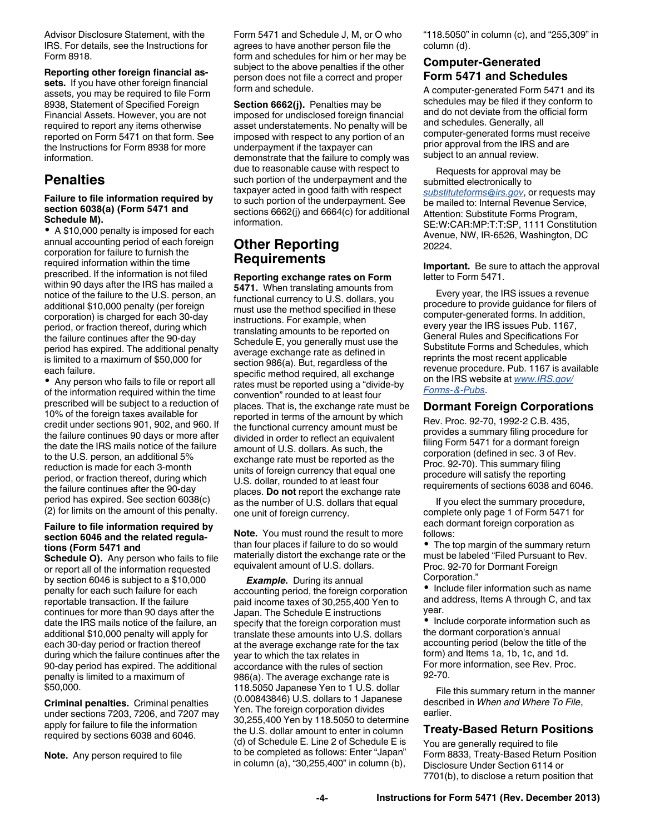Advisor Disclosure Statement, with the IRS. For details, see the Instructions for Form 8918.

**Reporting other foreign financial assets.** If you have other foreign financial assets, you may be required to file Form 8938, Statement of Specified Foreign Financial Assets. However, you are not required to report any items otherwise reported on Form 5471 on that form. See the Instructions for Form 8938 for more information.

## **Penalties**

#### **Failure to file information required by section 6038(a) (Form 5471 and Schedule M).**

A \$10,000 penalty is imposed for each annual accounting period of each foreign corporation for failure to furnish the required information within the time prescribed. If the information is not filed within 90 days after the IRS has mailed a notice of the failure to the U.S. person, an additional \$10,000 penalty (per foreign corporation) is charged for each 30-day period, or fraction thereof, during which the failure continues after the 90-day period has expired. The additional penalty is limited to a maximum of \$50,000 for each failure.

Any person who fails to file or report all of the information required within the time prescribed will be subject to a reduction of 10% of the foreign taxes available for credit under sections 901, 902, and 960. If the failure continues 90 days or more after the date the IRS mails notice of the failure to the U.S. person, an additional 5% reduction is made for each 3-month period, or fraction thereof, during which the failure continues after the 90-day period has expired. See section 6038(c) (2) for limits on the amount of this penalty.

#### **Failure to file information required by section 6046 and the related regulations (Form 5471 and**

**Schedule O).** Any person who fails to file or report all of the information requested by section 6046 is subject to a \$10,000 penalty for each such failure for each reportable transaction. If the failure continues for more than 90 days after the date the IRS mails notice of the failure, an additional \$10,000 penalty will apply for each 30-day period or fraction thereof during which the failure continues after the 90-day period has expired. The additional penalty is limited to a maximum of \$50,000.

**Criminal penalties.** Criminal penalties under sections 7203, 7206, and 7207 may apply for failure to file the information required by sections 6038 and 6046.

**Note.** Any person required to file

Form 5471 and Schedule J, M, or O who agrees to have another person file the form and schedules for him or her may be subject to the above penalties if the other person does not file a correct and proper form and schedule.

**Section 6662(j).** Penalties may be imposed for undisclosed foreign financial asset understatements. No penalty will be imposed with respect to any portion of an underpayment if the taxpayer can demonstrate that the failure to comply was due to reasonable cause with respect to such portion of the underpayment and the taxpayer acted in good faith with respect to such portion of the underpayment. See sections 6662(j) and 6664(c) for additional information.

# **Other Reporting Requirements**

**Reporting exchange rates on Form 5471.** When translating amounts from functional currency to U.S. dollars, you must use the method specified in these instructions. For example, when translating amounts to be reported on Schedule E, you generally must use the average exchange rate as defined in section 986(a). But, regardless of the specific method required, all exchange rates must be reported using a "divide-by convention" rounded to at least four places. That is, the exchange rate must be reported in terms of the amount by which the functional currency amount must be divided in order to reflect an equivalent amount of U.S. dollars. As such, the exchange rate must be reported as the units of foreign currency that equal one U.S. dollar, rounded to at least four places. **Do not** report the exchange rate as the number of U.S. dollars that equal one unit of foreign currency.

**Note.** You must round the result to more than four places if failure to do so would materially distort the exchange rate or the equivalent amount of U.S. dollars.

*Example.* During its annual accounting period, the foreign corporation paid income taxes of 30,255,400 Yen to Japan. The Schedule E instructions specify that the foreign corporation must translate these amounts into U.S. dollars at the average exchange rate for the tax year to which the tax relates in accordance with the rules of section 986(a). The average exchange rate is 118.5050 Japanese Yen to 1 U.S. dollar (0.00843846) U.S. dollars to 1 Japanese Yen. The foreign corporation divides 30,255,400 Yen by 118.5050 to determine the U.S. dollar amount to enter in column (d) of Schedule E. Line 2 of Schedule E is to be completed as follows: Enter "Japan" in column (a), "30,255,400" in column (b),

"118.5050" in column (c), and "255,309" in column (d).

### **Computer-Generated Form 5471 and Schedules**

A computer-generated Form 5471 and its schedules may be filed if they conform to and do not deviate from the official form and schedules. Generally, all computer-generated forms must receive prior approval from the IRS and are subject to an annual review.

Requests for approval may be submitted electronically to *[substituteforms@irs.gov](mailto:substituteforms@irs.gov)*, or requests may be mailed to: Internal Revenue Service, Attention: Substitute Forms Program, SE:W:CAR:MP:T:T:SP, 1111 Constitution Avenue, NW, IR-6526, Washington, DC 20224.

**Important.** Be sure to attach the approval letter to Form 5471.

Every year, the IRS issues a revenue procedure to provide guidance for filers of computer-generated forms. In addition, every year the IRS issues Pub. 1167, General Rules and Specifications For Substitute Forms and Schedules, which reprints the most recent applicable revenue procedure. Pub. 1167 is available on the IRS website at *[www.IRS.gov/](http://www.irs.gov/Forms-&-Pubs) [Forms-&-Pubs](http://www.irs.gov/Forms-&-Pubs)*.

### **Dormant Foreign Corporations**

Rev. Proc. 92-70, 1992-2 C.B. 435, provides a summary filing procedure for filing Form 5471 for a dormant foreign corporation (defined in sec. 3 of Rev. Proc. 92-70). This summary filing procedure will satisfy the reporting requirements of sections 6038 and 6046.

If you elect the summary procedure, complete only page 1 of Form 5471 for each dormant foreign corporation as follows:

• The top margin of the summary return must be labeled "Filed Pursuant to Rev. Proc. 92-70 for Dormant Foreign Corporation."

• Include filer information such as name and address, Items A through C, and tax year.

• Include corporate information such as the dormant corporation's annual accounting period (below the title of the form) and Items 1a, 1b, 1c, and 1d. For more information, see Rev. Proc. 92-70.

File this summary return in the manner described in *When and Where To File*, earlier.

### **Treaty-Based Return Positions**

You are generally required to file Form 8833, Treaty-Based Return Position Disclosure Under Section 6114 or 7701(b), to disclose a return position that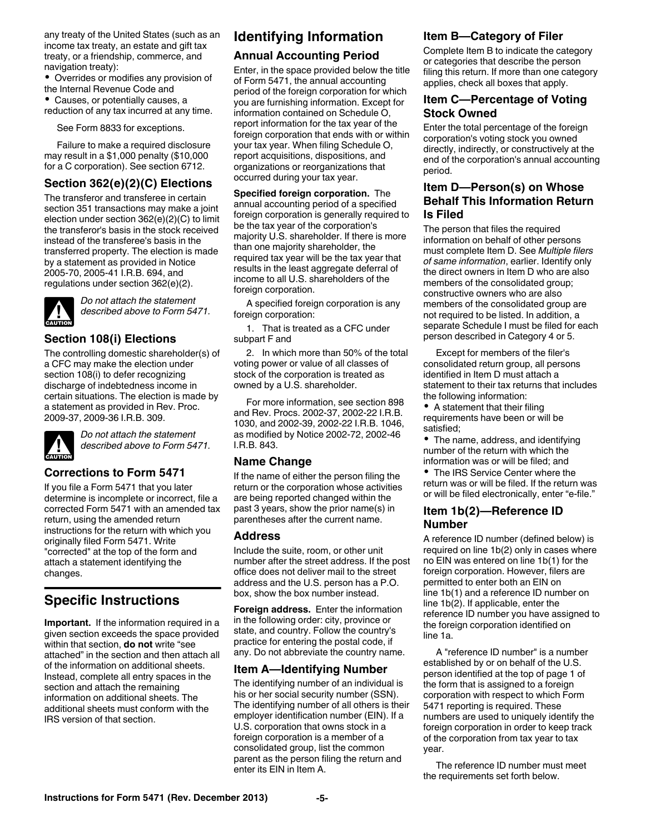any treaty of the United States (such as an income tax treaty, an estate and gift tax treaty, or a friendship, commerce, and navigation treaty):

Overrides or modifies any provision of the Internal Revenue Code and

Causes, or potentially causes, a reduction of any tax incurred at any time.

See Form 8833 for exceptions.

Failure to make a required disclosure may result in a \$1,000 penalty (\$10,000 for a C corporation). See section 6712.

### **Section 362(e)(2)(C) Elections**

The transferor and transferee in certain section 351 transactions may make a joint election under section 362(e)(2)(C) to limit the transferor's basis in the stock received instead of the transferee's basis in the transferred property. The election is made by a statement as provided in Notice 2005-70, 2005-41 I.R.B. 694, and regulations under section 362(e)(2).



*Do not attach the statement described above to Form 5471.*

### **Section 108(i) Elections**

The controlling domestic shareholder(s) of a CFC may make the election under section 108(i) to defer recognizing discharge of indebtedness income in certain situations. The election is made by a statement as provided in Rev. Proc. 2009-37, 2009-36 I.R.B. 309.



*Do not attach the statement described above to Form 5471.*

#### **Corrections to Form 5471**

If you file a Form 5471 that you later determine is incomplete or incorrect, file a corrected Form 5471 with an amended tax return, using the amended return instructions for the return with which you originally filed Form 5471. Write "corrected" at the top of the form and attach a statement identifying the changes.

# **Specific Instructions**

**Important.** If the information required in a given section exceeds the space provided within that section, **do not** write "see attached" in the section and then attach all of the information on additional sheets. Instead, complete all entry spaces in the section and attach the remaining information on additional sheets. The additional sheets must conform with the IRS version of that section.

### **Identifying Information**

### **Annual Accounting Period**

Enter, in the space provided below the title of Form 5471, the annual accounting period of the foreign corporation for which you are furnishing information. Except for information contained on Schedule O, report information for the tax year of the foreign corporation that ends with or within your tax year. When filing Schedule O, report acquisitions, dispositions, and organizations or reorganizations that occurred during your tax year.

**Specified foreign corporation.** The annual accounting period of a specified foreign corporation is generally required to be the tax year of the corporation's majority U.S. shareholder. If there is more than one majority shareholder, the required tax year will be the tax year that results in the least aggregate deferral of income to all U.S. shareholders of the foreign corporation.

A specified foreign corporation is any foreign corporation:

1. That is treated as a CFC under subpart F and

2. In which more than 50% of the total voting power or value of all classes of stock of the corporation is treated as owned by a U.S. shareholder.

For more information, see section 898 and Rev. Procs. 2002-37, 2002-22 I.R.B. 1030, and 2002-39, 2002-22 I.R.B. 1046, as modified by Notice 2002-72, 2002-46 I.R.B. 843.

### **Name Change**

If the name of either the person filing the return or the corporation whose activities are being reported changed within the past 3 years, show the prior name(s) in parentheses after the current name.

#### **Address**

Include the suite, room, or other unit number after the street address. If the post office does not deliver mail to the street address and the U.S. person has a P.O. box, show the box number instead.

**Foreign address.** Enter the information in the following order: city, province or state, and country. Follow the country's practice for entering the postal code, if any. Do not abbreviate the country name.

### **Item A—Identifying Number**

The identifying number of an individual is his or her social security number (SSN). The identifying number of all others is their employer identification number (EIN). If a U.S. corporation that owns stock in a foreign corporation is a member of a consolidated group, list the common parent as the person filing the return and enter its EIN in Item A.

### **Item B—Category of Filer**

Complete Item B to indicate the category or categories that describe the person filing this return. If more than one category applies, check all boxes that apply.

### **Item C—Percentage of Voting Stock Owned**

Enter the total percentage of the foreign corporation's voting stock you owned directly, indirectly, or constructively at the end of the corporation's annual accounting period.

### **Item D—Person(s) on Whose Behalf This Information Return Is Filed**

The person that files the required information on behalf of other persons must complete Item D. See *Multiple filers of same information*, earlier. Identify only the direct owners in Item D who are also members of the consolidated group; constructive owners who are also members of the consolidated group are not required to be listed. In addition, a separate Schedule I must be filed for each person described in Category 4 or 5.

Except for members of the filer's consolidated return group, all persons identified in Item D must attach a statement to their tax returns that includes the following information:

• A statement that their filing requirements have been or will be satisfied;

The name, address, and identifying number of the return with which the information was or will be filed; and

• The IRS Service Center where the return was or will be filed. If the return was or will be filed electronically, enter "e-file."

### **Item 1b(2)—Reference ID Number**

A reference ID number (defined below) is required on line 1b(2) only in cases where no EIN was entered on line 1b(1) for the foreign corporation. However, filers are permitted to enter both an EIN on line 1b(1) and a reference ID number on line 1b(2). If applicable, enter the reference ID number you have assigned to the foreign corporation identified on line 1a.

A "reference ID number" is a number established by or on behalf of the U.S. person identified at the top of page 1 of the form that is assigned to a foreign corporation with respect to which Form 5471 reporting is required. These numbers are used to uniquely identify the foreign corporation in order to keep track of the corporation from tax year to tax year.

The reference ID number must meet the requirements set forth below.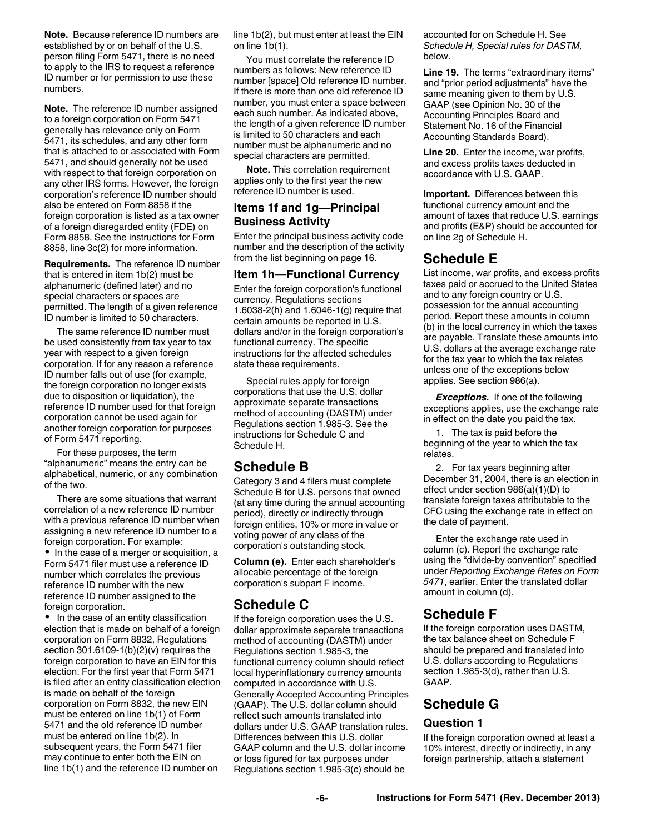**Note.** Because reference ID numbers are established by or on behalf of the U.S. person filing Form 5471, there is no need to apply to the IRS to request a reference ID number or for permission to use these numbers.

**Note.** The reference ID number assigned to a foreign corporation on Form 5471 generally has relevance only on Form 5471, its schedules, and any other form that is attached to or associated with Form 5471, and should generally not be used with respect to that foreign corporation on any other IRS forms. However, the foreign corporation's reference ID number should also be entered on Form 8858 if the foreign corporation is listed as a tax owner of a foreign disregarded entity (FDE) on Form 8858. See the instructions for Form 8858, line 3c(2) for more information.

**Requirements.** The reference ID number that is entered in item 1b(2) must be alphanumeric (defined later) and no special characters or spaces are permitted. The length of a given reference ID number is limited to 50 characters.

The same reference ID number must be used consistently from tax year to tax year with respect to a given foreign corporation. If for any reason a reference ID number falls out of use (for example, the foreign corporation no longer exists due to disposition or liquidation), the reference ID number used for that foreign corporation cannot be used again for another foreign corporation for purposes of Form 5471 reporting.

For these purposes, the term "alphanumeric" means the entry can be alphabetical, numeric, or any combination of the two.

There are some situations that warrant correlation of a new reference ID number with a previous reference ID number when assigning a new reference ID number to a foreign corporation. For example: • In the case of a merger or acquisition, a

Form 5471 filer must use a reference ID number which correlates the previous reference ID number with the new reference ID number assigned to the foreign corporation.

 In the case of an entity classification election that is made on behalf of a foreign corporation on Form 8832, Regulations section 301.6109-1(b)(2)(v) requires the foreign corporation to have an EIN for this election. For the first year that Form 5471 is filed after an entity classification election is made on behalf of the foreign corporation on Form 8832, the new EIN must be entered on line 1b(1) of Form 5471 and the old reference ID number must be entered on line 1b(2). In subsequent years, the Form 5471 filer may continue to enter both the EIN on line 1b(1) and the reference ID number on

line 1b(2), but must enter at least the EIN on line 1b(1).

You must correlate the reference ID numbers as follows: New reference ID number [space] Old reference ID number. If there is more than one old reference ID number, you must enter a space between each such number. As indicated above, the length of a given reference ID number is limited to 50 characters and each number must be alphanumeric and no special characters are permitted.

**Note.** This correlation requirement applies only to the first year the new reference ID number is used.

### **Items 1f and 1g—Principal Business Activity**

Enter the principal business activity code number and the description of the activity from the list beginning on page 16.

#### **Item 1h—Functional Currency**

Enter the foreign corporation's functional currency. Regulations sections 1.6038-2(h) and 1.6046-1(g) require that certain amounts be reported in U.S. dollars and/or in the foreign corporation's functional currency. The specific instructions for the affected schedules state these requirements.

Special rules apply for foreign corporations that use the U.S. dollar approximate separate transactions method of accounting (DASTM) under Regulations section 1.985-3. See the instructions for Schedule C and Schedule H.

### **Schedule B**

Category 3 and 4 filers must complete Schedule B for U.S. persons that owned (at any time during the annual accounting period), directly or indirectly through foreign entities, 10% or more in value or voting power of any class of the corporation's outstanding stock.

**Column (e).** Enter each shareholder's allocable percentage of the foreign corporation's subpart F income.

### **Schedule C**

If the foreign corporation uses the U.S. dollar approximate separate transactions method of accounting (DASTM) under Regulations section 1.985-3, the functional currency column should reflect local hyperinflationary currency amounts computed in accordance with U.S. Generally Accepted Accounting Principles (GAAP). The U.S. dollar column should reflect such amounts translated into dollars under U.S. GAAP translation rules. Differences between this U.S. dollar GAAP column and the U.S. dollar income or loss figured for tax purposes under Regulations section 1.985-3(c) should be

accounted for on Schedule H. See *Schedule H, Special rules for DASTM,*  below.

**Line 19.** The terms "extraordinary items" and "prior period adjustments" have the same meaning given to them by U.S. GAAP (see Opinion No. 30 of the Accounting Principles Board and Statement No. 16 of the Financial Accounting Standards Board).

**Line 20.** Enter the income, war profits, and excess profits taxes deducted in accordance with U.S. GAAP.

**Important.** Differences between this functional currency amount and the amount of taxes that reduce U.S. earnings and profits (E&P) should be accounted for on line 2g of Schedule H.

### **Schedule E**

List income, war profits, and excess profits taxes paid or accrued to the United States and to any foreign country or U.S. possession for the annual accounting period. Report these amounts in column (b) in the local currency in which the taxes are payable. Translate these amounts into U.S. dollars at the average exchange rate for the tax year to which the tax relates unless one of the exceptions below applies. See section 986(a).

**Exceptions.** If one of the following exceptions applies, use the exchange rate in effect on the date you paid the tax.

1. The tax is paid before the beginning of the year to which the tax relates.

2. For tax years beginning after December 31, 2004, there is an election in effect under section 986(a)(1)(D) to translate foreign taxes attributable to the CFC using the exchange rate in effect on the date of payment.

Enter the exchange rate used in column (c). Report the exchange rate using the "divide-by convention" specified under *Reporting Exchange Rates on Form 5471*, earlier. Enter the translated dollar amount in column (d).

### **Schedule F**

If the foreign corporation uses DASTM, the tax balance sheet on Schedule F should be prepared and translated into U.S. dollars according to Regulations section 1.985-3(d), rather than U.S. GAAP.

# **Schedule G**

### **Question 1**

If the foreign corporation owned at least a 10% interest, directly or indirectly, in any foreign partnership, attach a statement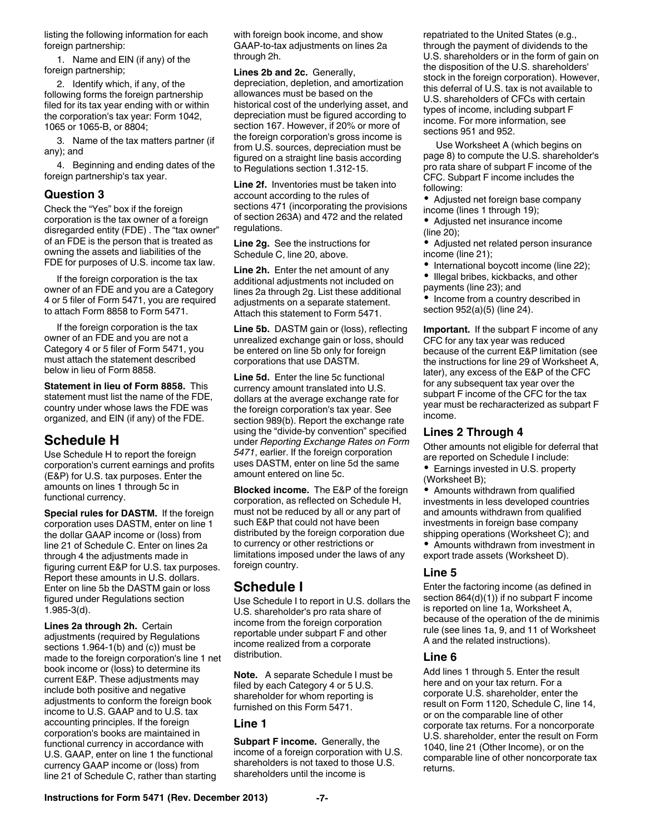listing the following information for each foreign partnership:

1. Name and EIN (if any) of the foreign partnership;

2. Identify which, if any, of the following forms the foreign partnership filed for its tax year ending with or within the corporation's tax year: Form 1042, 1065 or 1065-B, or 8804;

3. Name of the tax matters partner (if any); and

4. Beginning and ending dates of the foreign partnership's tax year.

### **Question 3**

Check the "Yes" box if the foreign corporation is the tax owner of a foreign disregarded entity (FDE) . The "tax owner" of an FDE is the person that is treated as owning the assets and liabilities of the FDE for purposes of U.S. income tax law.

If the foreign corporation is the tax owner of an FDE and you are a Category 4 or 5 filer of Form 5471, you are required to attach Form 8858 to Form 5471.

If the foreign corporation is the tax owner of an FDE and you are not a Category 4 or 5 filer of Form 5471, you must attach the statement described below in lieu of Form 8858.

**Statement in lieu of Form 8858.** This statement must list the name of the FDE, country under whose laws the FDE was organized, and EIN (if any) of the FDE.

# **Schedule H**

Use Schedule H to report the foreign corporation's current earnings and profits (E&P) for U.S. tax purposes. Enter the amounts on lines 1 through 5c in functional currency.

**Special rules for DASTM.** If the foreign corporation uses DASTM, enter on line 1 the dollar GAAP income or (loss) from line 21 of Schedule C. Enter on lines 2a through 4 the adjustments made in figuring current E&P for U.S. tax purposes. Report these amounts in U.S. dollars. Enter on line 5b the DASTM gain or loss figured under Regulations section 1.985-3(d).

**Lines 2a through 2h.** Certain adjustments (required by Regulations sections 1.964-1(b) and (c)) must be made to the foreign corporation's line 1 net book income or (loss) to determine its current E&P. These adjustments may include both positive and negative adjustments to conform the foreign book income to U.S. GAAP and to U.S. tax accounting principles. If the foreign corporation's books are maintained in functional currency in accordance with U.S. GAAP, enter on line 1 the functional currency GAAP income or (loss) from line 21 of Schedule C, rather than starting

with foreign book income, and show GAAP-to-tax adjustments on lines 2a through 2h.

**Lines 2b and 2c.** Generally, depreciation, depletion, and amortization allowances must be based on the historical cost of the underlying asset, and depreciation must be figured according to section 167. However, if 20% or more of the foreign corporation's gross income is from U.S. sources, depreciation must be figured on a straight line basis according to Regulations section 1.312-15.

**Line 2f.** Inventories must be taken into account according to the rules of sections 471 (incorporating the provisions of section 263A) and 472 and the related regulations.

**Line 2g.** See the instructions for Schedule C, line 20, above.

**Line 2h.** Enter the net amount of any additional adjustments not included on lines 2a through 2g. List these additional adiustments on a separate statement. Attach this statement to Form 5471.

**Line 5b.** DASTM gain or (loss), reflecting unrealized exchange gain or loss, should be entered on line 5b only for foreign corporations that use DASTM.

**Line 5d.** Enter the line 5c functional currency amount translated into U.S. dollars at the average exchange rate for the foreign corporation's tax year. See section 989(b). Report the exchange rate using the "divide-by convention" specified under *Reporting Exchange Rates on Form 5471*, earlier. If the foreign corporation uses DASTM, enter on line 5d the same amount entered on line 5c.

**Blocked income.** The E&P of the foreign corporation, as reflected on Schedule H, must not be reduced by all or any part of such E&P that could not have been distributed by the foreign corporation due to currency or other restrictions or limitations imposed under the laws of any foreign country.

# **Schedule I**

Use Schedule I to report in U.S. dollars the U.S. shareholder's pro rata share of income from the foreign corporation reportable under subpart F and other income realized from a corporate distribution.

**Note.** A separate Schedule I must be filed by each Category 4 or 5 U.S. shareholder for whom reporting is furnished on this Form 5471.

#### **Line 1**

**Subpart F income.** Generally, the income of a foreign corporation with U.S. shareholders is not taxed to those U.S. shareholders until the income is

repatriated to the United States (e.g., through the payment of dividends to the U.S. shareholders or in the form of gain on the disposition of the U.S. shareholders' stock in the foreign corporation). However, this deferral of U.S. tax is not available to U.S. shareholders of CFCs with certain types of income, including subpart F income. For more information, see sections 951 and 952.

Use Worksheet A (which begins on page 8) to compute the U.S. shareholder's pro rata share of subpart F income of the CFC. Subpart F income includes the following:

Adjusted net foreign base company income (lines 1 through 19);

Adjusted net insurance income (line 20);

Adjusted net related person insurance income (line 21);

- International boycott income (line 22);
- $\bullet$  Illegal bribes, kickbacks, and other payments (line 23); and
- Income from a country described in section 952(a)(5) (line 24).

**Important.** If the subpart F income of any CFC for any tax year was reduced because of the current E&P limitation (see the instructions for line 29 of Worksheet A, later), any excess of the E&P of the CFC for any subsequent tax year over the subpart F income of the CFC for the tax year must be recharacterized as subpart F income.

#### **Lines 2 Through 4**

Other amounts not eligible for deferral that are reported on Schedule I include:

• Earnings invested in U.S. property (Worksheet B);

Amounts withdrawn from qualified investments in less developed countries and amounts withdrawn from qualified investments in foreign base company shipping operations (Worksheet C); and

Amounts withdrawn from investment in export trade assets (Worksheet D).

### **Line 5**

Enter the factoring income (as defined in section 864(d)(1)) if no subpart F income is reported on line 1a, Worksheet A, because of the operation of the de minimis rule (see lines 1a, 9, and 11 of Worksheet A and the related instructions).

### **Line 6**

Add lines 1 through 5. Enter the result here and on your tax return. For a corporate U.S. shareholder, enter the result on Form 1120, Schedule C, line 14, or on the comparable line of other corporate tax returns. For a noncorporate U.S. shareholder, enter the result on Form 1040, line 21 (Other Income), or on the comparable line of other noncorporate tax returns.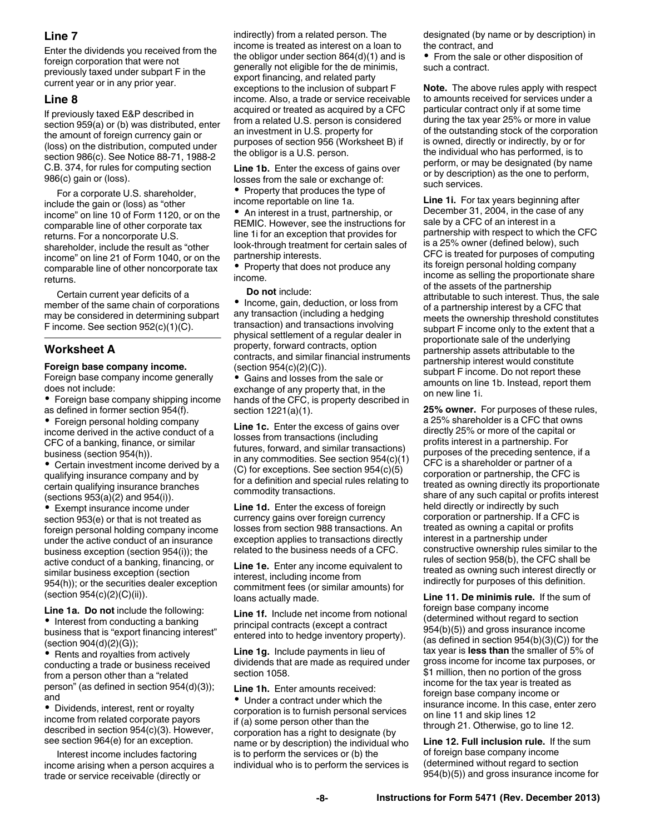### **Line 7**

Enter the dividends you received from the foreign corporation that were not previously taxed under subpart F in the current year or in any prior year.

#### **Line 8**

If previously taxed E&P described in section 959(a) or (b) was distributed, enter the amount of foreign currency gain or (loss) on the distribution, computed under section 986(c). See Notice 88-71, 1988-2 C.B. 374, for rules for computing section 986(c) gain or (loss).

For a corporate U.S. shareholder, include the gain or (loss) as "other income" on line 10 of Form 1120, or on the comparable line of other corporate tax returns. For a noncorporate U.S. shareholder, include the result as "other income" on line 21 of Form 1040, or on the comparable line of other noncorporate tax returns.

Certain current year deficits of a member of the same chain of corporations may be considered in determining subpart F income. See section 952(c)(1)(C).

### **Worksheet A**

#### **Foreign base company income.**

Foreign base company income generally does not include:

Foreign base company shipping income as defined in former section 954(f).

Foreign personal holding company income derived in the active conduct of a CFC of a banking, finance, or similar business (section 954(h)).

Certain investment income derived by a qualifying insurance company and by certain qualifying insurance branches (sections 953(a)(2) and 954(i)).

Exempt insurance income under section 953(e) or that is not treated as foreign personal holding company income under the active conduct of an insurance business exception (section 954(i)); the active conduct of a banking, financing, or similar business exception (section 954(h)); or the securities dealer exception (section 954(c)(2)(C)(ii)).

**Line 1a. Do not** include the following: • Interest from conducting a banking business that is "export financing interest" (section 904(d)(2)(G));

• Rents and royalties from actively conducting a trade or business received from a person other than a "related person" (as defined in section 954(d)(3)); and

Dividends, interest, rent or royalty income from related corporate payors described in section 954(c)(3). However, see section 964(e) for an exception.

Interest income includes factoring income arising when a person acquires a trade or service receivable (directly or

indirectly) from a related person. The income is treated as interest on a loan to the obligor under section 864(d)(1) and is generally not eligible for the de minimis, export financing, and related party exceptions to the inclusion of subpart F income. Also, a trade or service receivable acquired or treated as acquired by a CFC from a related U.S. person is considered an investment in U.S. property for purposes of section 956 (Worksheet B) if the obligor is a U.S. person.

**Line 1b.** Enter the excess of gains over losses from the sale or exchange of: • Property that produces the type of income reportable on line 1a.

An interest in a trust, partnership, or REMIC. However, see the instructions for line 1i for an exception that provides for look-through treatment for certain sales of partnership interests.

• Property that does not produce any income.

#### **Do not** include:

• Income, gain, deduction, or loss from any transaction (including a hedging transaction) and transactions involving physical settlement of a regular dealer in property, forward contracts, option contracts, and similar financial instruments (section 954(c)(2)(C)).

Gains and losses from the sale or exchange of any property that, in the hands of the CFC, is property described in section 1221(a)(1).

**Line 1c.** Enter the excess of gains over losses from transactions (including futures, forward, and similar transactions) in any commodities. See section 954(c)(1) (C) for exceptions. See section 954(c)(5) for a definition and special rules relating to commodity transactions.

**Line 1d.** Enter the excess of foreign currency gains over foreign currency losses from section 988 transactions. An exception applies to transactions directly related to the business needs of a CFC.

**Line 1e.** Enter any income equivalent to interest, including income from commitment fees (or similar amounts) for loans actually made.

**Line 1f.** Include net income from notional principal contracts (except a contract entered into to hedge inventory property).

**Line 1g.** Include payments in lieu of dividends that are made as required under section 1058.

**Line 1h.** Enter amounts received: Under a contract under which the corporation is to furnish personal services if (a) some person other than the corporation has a right to designate (by name or by description) the individual who is to perform the services or (b) the individual who is to perform the services is designated (by name or by description) in the contract, and

• From the sale or other disposition of such a contract.

**Note.** The above rules apply with respect to amounts received for services under a particular contract only if at some time during the tax year 25% or more in value of the outstanding stock of the corporation is owned, directly or indirectly, by or for the individual who has performed, is to perform, or may be designated (by name or by description) as the one to perform, such services.

**Line 1i.** For tax years beginning after December 31, 2004, in the case of any sale by a CFC of an interest in a partnership with respect to which the CFC is a 25% owner (defined below), such CFC is treated for purposes of computing its foreign personal holding company income as selling the proportionate share of the assets of the partnership attributable to such interest. Thus, the sale of a partnership interest by a CFC that meets the ownership threshold constitutes subpart F income only to the extent that a proportionate sale of the underlying partnership assets attributable to the partnership interest would constitute subpart F income. Do not report these amounts on line 1b. Instead, report them on new line 1i.

**25% owner.** For purposes of these rules, a 25% shareholder is a CFC that owns directly 25% or more of the capital or profits interest in a partnership. For purposes of the preceding sentence, if a CFC is a shareholder or partner of a corporation or partnership, the CFC is treated as owning directly its proportionate share of any such capital or profits interest held directly or indirectly by such corporation or partnership. If a CFC is treated as owning a capital or profits interest in a partnership under constructive ownership rules similar to the rules of section 958(b), the CFC shall be treated as owning such interest directly or indirectly for purposes of this definition.

**Line 11. De minimis rule.** If the sum of foreign base company income (determined without regard to section 954(b)(5)) and gross insurance income (as defined in section 954(b)(3)(C)) for the tax year is **less than** the smaller of 5% of gross income for income tax purposes, or \$1 million, then no portion of the gross income for the tax year is treated as foreign base company income or insurance income. In this case, enter zero on line 11 and skip lines 12 through 21. Otherwise, go to line 12.

**Line 12. Full inclusion rule.** If the sum of foreign base company income (determined without regard to section 954(b)(5)) and gross insurance income for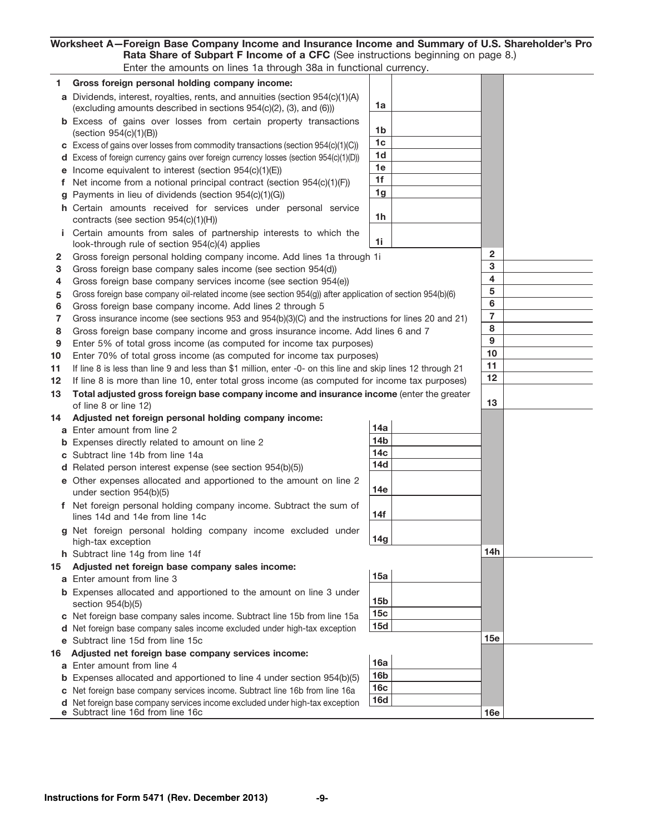Worksheet A— Foreign Base Company Income and Insurance Income and Summary of U.S. Shareholder's Pro Rata Share of Subpart F Income of a CFC (See instructions beginning on page 8.) Enter the amounts on lines 1a through 38a in functional currency.

|        | no annoanto on mioo na tinoaghi ood in ranottonal oan ono                                                                                                                                                                     |                          |                         |
|--------|-------------------------------------------------------------------------------------------------------------------------------------------------------------------------------------------------------------------------------|--------------------------|-------------------------|
| 1.     | Gross foreign personal holding company income:                                                                                                                                                                                |                          |                         |
|        | a Dividends, interest, royalties, rents, and annuities (section 954(c)(1)(A)                                                                                                                                                  |                          |                         |
|        | (excluding amounts described in sections 954(c)(2), (3), and (6)))                                                                                                                                                            | 1a                       |                         |
|        | <b>b</b> Excess of gains over losses from certain property transactions                                                                                                                                                       |                          |                         |
|        | $(\text{section } 954(c)(1)(B))$ .                                                                                                                                                                                            | 1b                       |                         |
|        | c Excess of gains over losses from commodity transactions (section 954(c)(1)(C))                                                                                                                                              | 1c                       |                         |
|        | d Excess of foreign currency gains over foreign currency losses (section 954(c)(1)(D))                                                                                                                                        | 1d                       |                         |
|        | <b>e</b> Income equivalent to interest (section $954(c)(1)(E)$ ).<br>and the company of the company                                                                                                                           | 1e                       |                         |
| f      | Net income from a notional principal contract (section 954(c)(1)(F)).                                                                                                                                                         | 1f                       |                         |
| g      | Payments in lieu of dividends (section 954(c)(1)(G))<br><b>Contractor</b>                                                                                                                                                     | 1 <sub>g</sub>           |                         |
|        | h Certain amounts received for services under personal service                                                                                                                                                                |                          |                         |
|        | contracts (see section $954(c)(1)(H)$ ) $\ldots$ $\ldots$ $\ldots$ $\ldots$                                                                                                                                                   | 1h                       |                         |
|        | Certain amounts from sales of partnership interests to which the                                                                                                                                                              |                          |                         |
|        | look-through rule of section 954(c)(4) applies                                                                                                                                                                                | 1i                       | $\mathbf{2}$            |
| 2      | Gross foreign personal holding company income. Add lines 1a through 1i.                                                                                                                                                       |                          | 3                       |
| 3      | Gross foreign base company sales income (see section 954(d))                                                                                                                                                                  |                          | $\overline{\mathbf{4}}$ |
| 4      | Gross foreign base company services income (see section 954(e))                                                                                                                                                               |                          | 5                       |
| 5      | Gross foreign base company oil-related income (see section $954(q)$ ) after application of section $954(b)(6)$                                                                                                                |                          | 6                       |
| 6      | Gross foreign base company income. Add lines 2 through 5                                                                                                                                                                      |                          | $\overline{7}$          |
| 7<br>8 | Gross insurance income (see sections 953 and 954(b)(3)(C) and the instructions for lines 20 and 21).<br>Gross foreign base company income and gross insurance income. Add lines 6 and 7.                                      |                          | 8                       |
| 9      | Enter 5% of total gross income (as computed for income tax purposes)                                                                                                                                                          |                          | 9                       |
| 10     | Enter 70% of total gross income (as computed for income tax purposes).                                                                                                                                                        |                          | 10                      |
| 11     | If line 8 is less than line 9 and less than \$1 million, enter -0- on this line and skip lines 12 through 21                                                                                                                  |                          | 11                      |
| 12     | If line 8 is more than line 10, enter total gross income (as computed for income tax purposes).                                                                                                                               |                          | 12                      |
| 13     | Total adjusted gross foreign base company income and insurance income (enter the greater                                                                                                                                      |                          |                         |
|        | of line 8 or line 12) $\ldots$ $\ldots$ $\ldots$ $\ldots$                                                                                                                                                                     |                          | 13                      |
| 14     | Adjusted net foreign personal holding company income:                                                                                                                                                                         |                          |                         |
|        | a Enter amount from line 2                                                                                                                                                                                                    | 14a                      |                         |
|        | <b>b</b> Expenses directly related to amount on line 2                                                                                                                                                                        | 14 <sub>b</sub>          |                         |
|        | c Subtract line 14b from line 14a                                                                                                                                                                                             | 14 <sub>c</sub>          |                         |
|        | <b>d</b> Related person interest expense (see section $954(b)(5)$ )                                                                                                                                                           | 14d                      |                         |
|        | e Other expenses allocated and apportioned to the amount on line 2                                                                                                                                                            |                          |                         |
|        | under section 954(b)(5)<br><u>.</u>                                                                                                                                                                                           | 14e                      |                         |
|        | f Net foreign personal holding company income. Subtract the sum of                                                                                                                                                            |                          |                         |
|        | lines 14d and 14e from line 14c<br>$\mathbf{r}$ and $\mathbf{r}$<br>and the state of the state                                                                                                                                | 14f                      |                         |
|        | g Net foreign personal holding company income excluded under                                                                                                                                                                  |                          |                         |
|        | high-tax exception                                                                                                                                                                                                            | 14g                      |                         |
|        | h Subtract line 14g from line 14f                                                                                                                                                                                             |                          | 14h                     |
| 15     | Adjusted net foreign base company sales income:                                                                                                                                                                               |                          |                         |
|        | a Enter amount from line 3 and a series and a series are all the series and a series are all the series are all the series are all the series are all the series and a series of the series of the series and a series of the | 15a                      |                         |
|        | <b>b</b> Expenses allocated and apportioned to the amount on line 3 under                                                                                                                                                     |                          |                         |
|        |                                                                                                                                                                                                                               | 15 <sub>b</sub>          |                         |
|        | c Net foreign base company sales income. Subtract line 15b from line 15a                                                                                                                                                      | 15 <sub>c</sub><br>15d   |                         |
|        | d Net foreign base company sales income excluded under high-tax exception.                                                                                                                                                    |                          |                         |
|        | e Subtract line 15d from line 15c                                                                                                                                                                                             |                          | 15e                     |
| 16     | Adjusted net foreign base company services income:                                                                                                                                                                            | 16a                      |                         |
|        | a Enter amount from line 4                                                                                                                                                                                                    | 16 <sub>b</sub>          |                         |
|        | <b>b</b> Expenses allocated and apportioned to line 4 under section 954(b)(5)                                                                                                                                                 | 16c                      |                         |
|        | c Net foreign base company services income. Subtract line 16b from line 16a.<br>d Net foreign base company services income excluded under high-tax exception                                                                  | <b>16d</b>               |                         |
|        | e Subtract line 16d from line 16c.                                                                                                                                                                                            | the contract of the con- | 16e                     |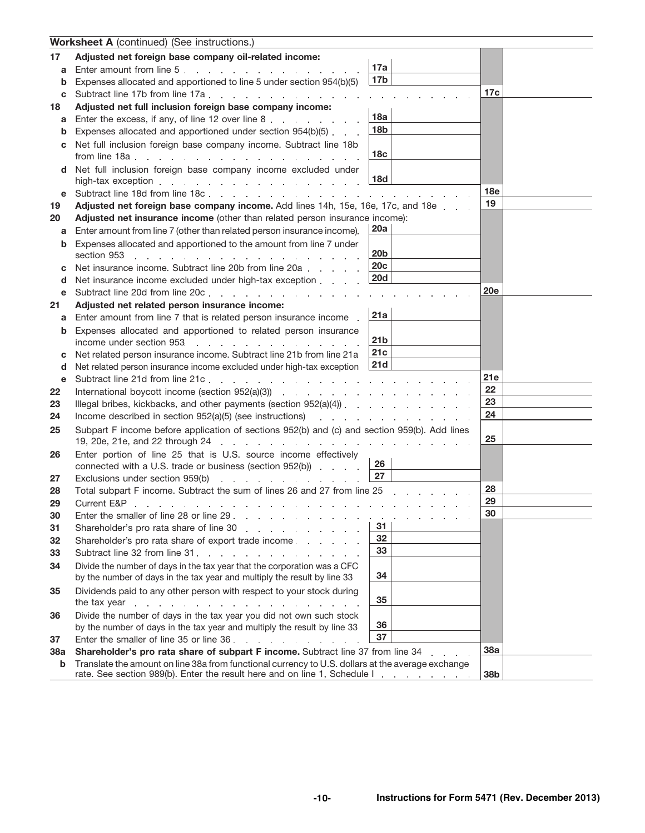|          | <b>Worksheet A</b> (continued) (See instructions.)                                                                                                                                                                             |                                  |            |
|----------|--------------------------------------------------------------------------------------------------------------------------------------------------------------------------------------------------------------------------------|----------------------------------|------------|
| 17       | Adjusted net foreign base company oil-related income:                                                                                                                                                                          |                                  |            |
| a        | Enter amount from line 5.                                                                                                                                                                                                      | 17a                              |            |
| b        | Expenses allocated and apportioned to line 5 under section 954(b)(5)                                                                                                                                                           | 17 <sub>b</sub>                  |            |
| c        | Subtract line 17b from line 17a                                                                                                                                                                                                |                                  | 17c        |
| 18       | Adjusted net full inclusion foreign base company income:                                                                                                                                                                       |                                  |            |
| a        | Enter the excess, if any, of line 12 over line 8.                                                                                                                                                                              | 18a                              |            |
| b        | Expenses allocated and apportioned under section 954(b)(5).                                                                                                                                                                    | 18 <sub>b</sub>                  |            |
| C.       | Net full inclusion foreign base company income. Subtract line 18b                                                                                                                                                              |                                  |            |
|          |                                                                                                                                                                                                                                | 18c                              |            |
| d        | Net full inclusion foreign base company income excluded under                                                                                                                                                                  | <b>18d</b>                       |            |
|          |                                                                                                                                                                                                                                |                                  | 18e        |
| е        |                                                                                                                                                                                                                                |                                  | 19         |
| 19       | Adjusted net foreign base company income. Add lines 14h, 15e, 16e, 17c, and 18e<br>Adjusted net insurance income (other than related person insurance income):                                                                 |                                  |            |
| 20<br>a  | Enter amount from line 7 (other than related person insurance income).                                                                                                                                                         | 20a                              |            |
|          | Expenses allocated and apportioned to the amount from line 7 under                                                                                                                                                             |                                  |            |
| b        | section 953<br>and the series of the series of the series of the series                                                                                                                                                        | 20b                              |            |
|          | Net insurance income. Subtract line 20b from line 20a                                                                                                                                                                          | <b>20c</b>                       |            |
| d        | Net insurance income excluded under high-tax exception                                                                                                                                                                         | <b>20d</b>                       |            |
| е        | Subtract line 20d from line 20c.                                                                                                                                                                                               |                                  | <b>20e</b> |
| 21       | Adjusted net related person insurance income:                                                                                                                                                                                  |                                  |            |
| а        | Enter amount from line 7 that is related person insurance income.                                                                                                                                                              | 21a                              |            |
| b        | Expenses allocated and apportioned to related person insurance                                                                                                                                                                 |                                  |            |
|          | income under section 953.<br>and the company of the company of the                                                                                                                                                             | 21b                              |            |
| С        | Net related person insurance income. Subtract line 21b from line 21a                                                                                                                                                           | 21c                              |            |
| d        | Net related person insurance income excluded under high-tax exception                                                                                                                                                          | 21d                              |            |
| e        |                                                                                                                                                                                                                                |                                  | 21e        |
| 22       |                                                                                                                                                                                                                                |                                  | 22         |
| 23       |                                                                                                                                                                                                                                |                                  | 23         |
| 24       | Income described in section 952(a)(5) (see instructions) example and section of the section of the section of the section of the section of the section of the section of the section of the section of the section of the sec |                                  | 24         |
| 25       | Subpart F income before application of sections 952(b) and (c) and section 959(b). Add lines                                                                                                                                   |                                  | 25         |
| 26       | Enter portion of line 25 that is U.S. source income effectively                                                                                                                                                                |                                  |            |
|          | connected with a U.S. trade or business (section 952(b))                                                                                                                                                                       | 26                               |            |
| 27       | Exclusions under section 959(b)<br>the contract of the contract of the con-                                                                                                                                                    | 27                               |            |
| 28       | Total subpart F income. Subtract the sum of lines 26 and 27 from line 25                                                                                                                                                       |                                  | 28         |
| 29       | Current E&P                                                                                                                                                                                                                    |                                  | 29<br>30   |
| 30       | Enter the smaller of line 28 or line 29                                                                                                                                                                                        | and the state of the state<br>31 |            |
| 31<br>32 | Shareholder's pro rata share of line 30<br>Shareholder's pro rata share of export trade income                                                                                                                                 | 32                               |            |
| 33       | Subtract line 32 from line 31.                                                                                                                                                                                                 | 33                               |            |
| 34       | Divide the number of days in the tax year that the corporation was a CFC                                                                                                                                                       |                                  |            |
|          | by the number of days in the tax year and multiply the result by line 33                                                                                                                                                       | 34                               |            |
| 35       | Dividends paid to any other person with respect to your stock during                                                                                                                                                           |                                  |            |
|          |                                                                                                                                                                                                                                | 35                               |            |
| 36       | Divide the number of days in the tax year you did not own such stock                                                                                                                                                           |                                  |            |
|          | by the number of days in the tax year and multiply the result by line 33                                                                                                                                                       | 36                               |            |
| 37       | Enter the smaller of line 35 or line 36.                                                                                                                                                                                       | 37                               |            |
| 38a      | Shareholder's pro rata share of subpart F income. Subtract line 37 from line 34 contact the state of subsets of the state of subsets of the 37 from line 34 contact the state of the state of the state of the 37 from line 34 |                                  | 38a        |
| b        | Translate the amount on line 38a from functional currency to U.S. dollars at the average exchange<br>rate. See section 989(b). Enter the result here and on line 1, Schedule I.                                                |                                  | 38b        |
|          |                                                                                                                                                                                                                                |                                  |            |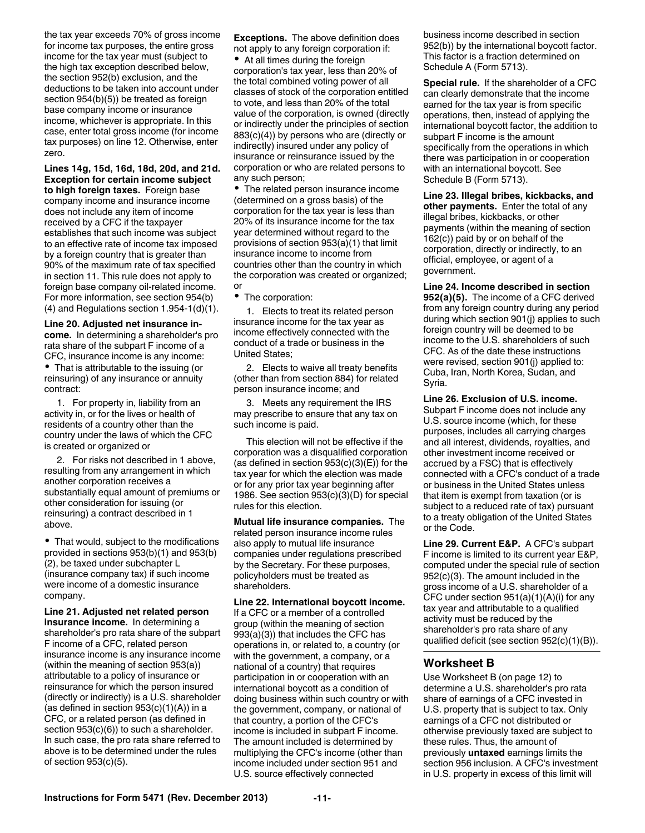the tax year exceeds 70% of gross income for income tax purposes, the entire gross income for the tax year must (subject to the high tax exception described below, the section 952(b) exclusion, and the deductions to be taken into account under section 954(b)(5)) be treated as foreign base company income or insurance income, whichever is appropriate. In this case, enter total gross income (for income tax purposes) on line 12. Otherwise, enter zero.

**Lines 14g, 15d, 16d, 18d, 20d, and 21d. Exception for certain income subject to high foreign taxes.** Foreign base company income and insurance income does not include any item of income received by a CFC if the taxpayer establishes that such income was subject to an effective rate of income tax imposed by a foreign country that is greater than 90% of the maximum rate of tax specified in section 11. This rule does not apply to foreign base company oil-related income. For more information, see section 954(b) (4) and Regulations section 1.954-1(d)(1).

**Line 20. Adjusted net insurance income.** In determining a shareholder's pro rata share of the subpart F income of a CFC, insurance income is any income: That is attributable to the issuing (or reinsuring) of any insurance or annuity contract:

1. For property in, liability from an activity in, or for the lives or health of residents of a country other than the country under the laws of which the CFC is created or organized or

2. For risks not described in 1 above, resulting from any arrangement in which another corporation receives a substantially equal amount of premiums or other consideration for issuing (or reinsuring) a contract described in 1 above.

That would, subject to the modifications provided in sections 953(b)(1) and 953(b) (2), be taxed under subchapter L (insurance company tax) if such income were income of a domestic insurance company.

**Line 21. Adjusted net related person insurance income.** In determining a shareholder's pro rata share of the subpart F income of a CFC, related person insurance income is any insurance income (within the meaning of section 953(a)) attributable to a policy of insurance or reinsurance for which the person insured (directly or indirectly) is a U.S. shareholder (as defined in section  $953(c)(1)(A)$ ) in a CFC, or a related person (as defined in section  $953(c)(6)$ ) to such a shareholder. In such case, the pro rata share referred to above is to be determined under the rules of section 953(c)(5).

**Exceptions.** The above definition does not apply to any foreign corporation if:

At all times during the foreign corporation's tax year, less than 20% of the total combined voting power of all classes of stock of the corporation entitled to vote, and less than 20% of the total value of the corporation, is owned (directly or indirectly under the principles of section 883(c)(4)) by persons who are (directly or indirectly) insured under any policy of insurance or reinsurance issued by the corporation or who are related persons to any such person;

The related person insurance income (determined on a gross basis) of the corporation for the tax year is less than 20% of its insurance income for the tax year determined without regard to the provisions of section 953(a)(1) that limit insurance income to income from countries other than the country in which the corporation was created or organized; or

• The corporation:

1. Elects to treat its related person insurance income for the tax year as income effectively connected with the conduct of a trade or business in the United States;

2. Elects to waive all treaty benefits (other than from section 884) for related person insurance income; and

3. Meets any requirement the IRS may prescribe to ensure that any tax on such income is paid.

This election will not be effective if the corporation was a disqualified corporation (as defined in section  $953(c)(3)(E)$ ) for the tax year for which the election was made or for any prior tax year beginning after 1986. See section 953(c)(3)(D) for special rules for this election.

**Mutual life insurance companies.** The related person insurance income rules also apply to mutual life insurance companies under regulations prescribed by the Secretary. For these purposes, policyholders must be treated as shareholders.

**Line 22. International boycott income.**  If a CFC or a member of a controlled group (within the meaning of section 993(a)(3)) that includes the CFC has operations in, or related to, a country (or with the government, a company, or a national of a country) that requires participation in or cooperation with an international boycott as a condition of doing business within such country or with the government, company, or national of that country, a portion of the CFC's income is included in subpart F income. The amount included is determined by multiplying the CFC's income (other than income included under section 951 and U.S. source effectively connected

business income described in section 952(b)) by the international boycott factor. This factor is a fraction determined on Schedule A (Form 5713).

**Special rule.** If the shareholder of a CFC can clearly demonstrate that the income earned for the tax year is from specific operations, then, instead of applying the international boycott factor, the addition to subpart F income is the amount specifically from the operations in which there was participation in or cooperation with an international boycott. See Schedule B (Form 5713).

**Line 23. Illegal bribes, kickbacks, and other payments.** Enter the total of any illegal bribes, kickbacks, or other payments (within the meaning of section 162(c)) paid by or on behalf of the corporation, directly or indirectly, to an official, employee, or agent of a government.

**Line 24. Income described in section 952(a)(5).** The income of a CFC derived from any foreign country during any period during which section 901(j) applies to such foreign country will be deemed to be income to the U.S. shareholders of such CFC. As of the date these instructions were revised, section 901(j) applied to: Cuba, Iran, North Korea, Sudan, and Syria.

**Line 26. Exclusion of U.S. income.**  Subpart F income does not include any U.S. source income (which, for these purposes, includes all carrying charges and all interest, dividends, royalties, and other investment income received or accrued by a FSC) that is effectively connected with a CFC's conduct of a trade or business in the United States unless that item is exempt from taxation (or is subject to a reduced rate of tax) pursuant to a treaty obligation of the United States or the Code.

**Line 29. Current E&P.** A CFC's subpart F income is limited to its current year E&P, computed under the special rule of section 952(c)(3). The amount included in the gross income of a U.S. shareholder of a CFC under section 951(a)(1)(A)(i) for any tax year and attributable to a qualified activity must be reduced by the shareholder's pro rata share of any qualified deficit (see section 952(c)(1)(B)).

### **Worksheet B**

Use Worksheet B (on page 12) to determine a U.S. shareholder's pro rata share of earnings of a CFC invested in U.S. property that is subject to tax. Only earnings of a CFC not distributed or otherwise previously taxed are subject to these rules. Thus, the amount of previously **untaxed** earnings limits the section 956 inclusion. A CFC's investment in U.S. property in excess of this limit will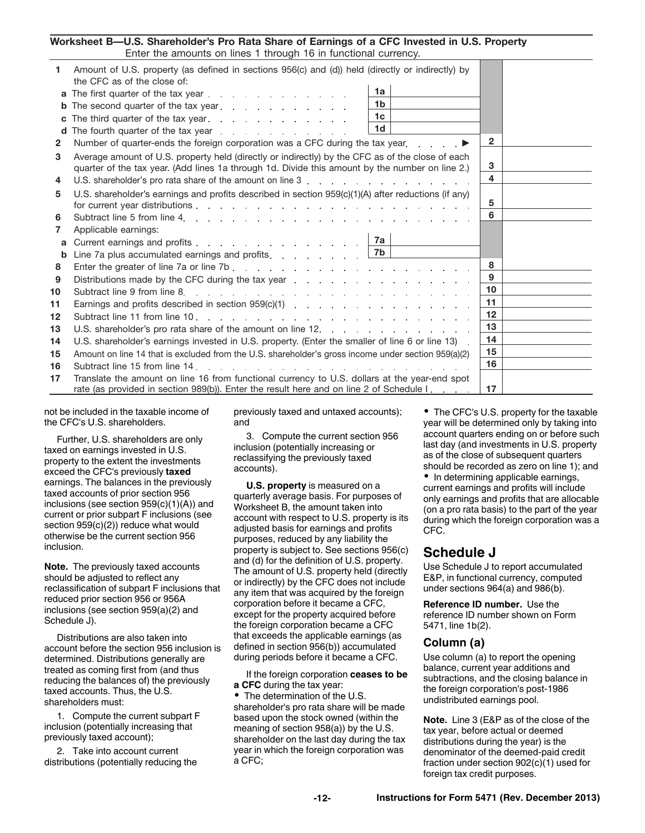#### **Worksheet B—U.S. Shareholder's Pro Rata Share of Earnings of a CFC Invested in U.S. Property** Enter the amounts on lines 1 through 16 in functional currency.

|              | Effer the amounts on lines T through To in functional currency.                                                                                                       |                 |  |
|--------------|-----------------------------------------------------------------------------------------------------------------------------------------------------------------------|-----------------|--|
| 1.           | Amount of U.S. property (as defined in sections 956(c) and (d)) held (directly or indirectly) by<br>the CFC as of the close of:                                       |                 |  |
|              | 1a<br><b>a</b> The first quarter of the tax year                                                                                                                      |                 |  |
| b            | 1 <sub>b</sub><br>The second quarter of the tax year                                                                                                                  |                 |  |
| C            | 1 <sub>c</sub><br>The third quarter of the tax year.                                                                                                                  |                 |  |
| d            | 1 <sub>d</sub><br>The fourth quarter of the tax year $\cdots$ , $\cdots$ , $\cdots$ , $\cdots$                                                                        |                 |  |
| $\mathbf{2}$ | Number of quarter-ends the foreign corporation was a CFC during the tax year extract of bumber of quarter-ends the foreign corporation was a CFC during the tax year. | $\overline{2}$  |  |
|              |                                                                                                                                                                       |                 |  |
| 3            | Average amount of U.S. property held (directly or indirectly) by the CFC as of the close of each                                                                      | 3               |  |
|              | quarter of the tax year. (Add lines 1a through 1d. Divide this amount by the number on line 2.)                                                                       | 4               |  |
| 4            |                                                                                                                                                                       |                 |  |
| 5            | U.S. shareholder's earnings and profits described in section 959(c)(1)(A) after reductions (if any)                                                                   |                 |  |
|              |                                                                                                                                                                       | 5               |  |
| 6            |                                                                                                                                                                       | 6               |  |
| 7            | Applicable earnings:                                                                                                                                                  |                 |  |
| a            | Current earnings and profits 7a                                                                                                                                       |                 |  |
| b            | Line 7a plus accumulated earnings and profits. $\ldots$ , $\ldots$                                                                                                    |                 |  |
| 8            |                                                                                                                                                                       | 8               |  |
| 9            | Distributions made by the CFC during the tax year                                                                                                                     | $\mathbf{Q}$    |  |
| 10           |                                                                                                                                                                       | 10 <sup>1</sup> |  |
| 11           |                                                                                                                                                                       | 11              |  |
| 12           |                                                                                                                                                                       | 12              |  |
| 13           |                                                                                                                                                                       | 13              |  |
| 14           | U.S. shareholder's earnings invested in U.S. property. (Enter the smaller of line 6 or line 13).                                                                      | 14              |  |
| 15           | Amount on line 14 that is excluded from the U.S. shareholder's gross income under section 959(a)(2)                                                                   | 15              |  |
| 16           |                                                                                                                                                                       | 16              |  |
| 17           | Translate the amount on line 16 from functional currency to U.S. dollars at the year-end spot                                                                         |                 |  |
|              | rate (as provided in section 989(b)). Enter the result here and on line 2 of Schedule I.                                                                              | 17              |  |

not be included in the taxable income of the CFC's U.S. shareholders.

Further, U.S. shareholders are only taxed on earnings invested in U.S. property to the extent the investments exceed the CFC's previously **taxed**  earnings. The balances in the previously taxed accounts of prior section 956 inclusions (see section  $959(c)(1)(A)$ ) and current or prior subpart F inclusions (see section 959(c)(2)) reduce what would otherwise be the current section 956 inclusion.

**Note.** The previously taxed accounts should be adjusted to reflect any reclassification of subpart F inclusions that reduced prior section 956 or 956A inclusions (see section 959(a)(2) and Schedule J).

Distributions are also taken into account before the section 956 inclusion is determined. Distributions generally are treated as coming first from (and thus reducing the balances of) the previously taxed accounts. Thus, the U.S. shareholders must:

1. Compute the current subpart F inclusion (potentially increasing that previously taxed account);

2. Take into account current distributions (potentially reducing the previously taxed and untaxed accounts); and

3. Compute the current section 956 inclusion (potentially increasing or reclassifying the previously taxed accounts).

**U.S. property** is measured on a quarterly average basis. For purposes of Worksheet B, the amount taken into account with respect to U.S. property is its adjusted basis for earnings and profits purposes, reduced by any liability the property is subject to. See sections 956(c) and (d) for the definition of U.S. property. The amount of U.S. property held (directly or indirectly) by the CFC does not include any item that was acquired by the foreign corporation before it became a CFC, except for the property acquired before the foreign corporation became a CFC that exceeds the applicable earnings (as defined in section 956(b)) accumulated during periods before it became a CFC.

If the foreign corporation **ceases to be a CFC** during the tax year:

• The determination of the U.S. shareholder's pro rata share will be made based upon the stock owned (within the meaning of section 958(a)) by the U.S. shareholder on the last day during the tax year in which the foreign corporation was a CFC;

• The CFC's U.S. property for the taxable year will be determined only by taking into account quarters ending on or before such last day (and investments in U.S. property as of the close of subsequent quarters should be recorded as zero on line 1); and

• In determining applicable earnings, current earnings and profits will include only earnings and profits that are allocable (on a pro rata basis) to the part of the year during which the foreign corporation was a CFC.

### **Schedule J**

Use Schedule J to report accumulated E&P, in functional currency, computed under sections 964(a) and 986(b).

**Reference ID number.** Use the reference ID number shown on Form 5471, line 1b(2).

#### **Column (a)**

Use column (a) to report the opening balance, current year additions and subtractions, and the closing balance in the foreign corporation's post-1986 undistributed earnings pool.

**Note.** Line 3 (E&P as of the close of the tax year, before actual or deemed distributions during the year) is the denominator of the deemed-paid credit fraction under section 902(c)(1) used for foreign tax credit purposes.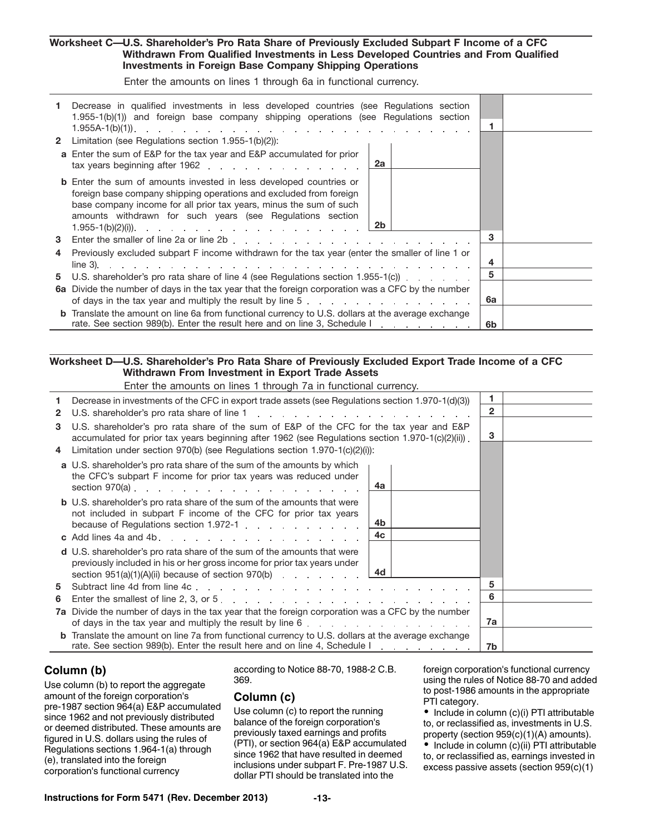#### **Worksheet C— U.S. Shareholder's Pro Rata Share of Previously Excluded Subpart F Income of a CFC Withdrawn From Qualified Investments in Less Developed Countries and From Qualified Investments in Foreign Base Company Shipping Operations**

Enter the amounts on lines 1 through 6a in functional currency.

|   | Decrease in qualified investments in less developed countries (see Regulations section<br>1.955-1(b)(1)) and foreign base company shipping operations (see Regulations section                                                                                                           |    |  |
|---|------------------------------------------------------------------------------------------------------------------------------------------------------------------------------------------------------------------------------------------------------------------------------------------|----|--|
|   | <b>2</b> Limitation (see Regulations section 1.955-1(b)(2)):                                                                                                                                                                                                                             |    |  |
|   | <b>a</b> Enter the sum of E&P for the tax year and E&P accumulated for prior<br>2a<br>tax years beginning after 1962.                                                                                                                                                                    |    |  |
|   | <b>b</b> Enter the sum of amounts invested in less developed countries or<br>foreign base company shipping operations and excluded from foreign<br>base company income for all prior tax years, minus the sum of such<br>amounts withdrawn for such years (see Regulations section<br>2b |    |  |
| 3 |                                                                                                                                                                                                                                                                                          | 3  |  |
| 4 | Previously excluded subpart F income withdrawn for the tax year (enter the smaller of line 1 or                                                                                                                                                                                          | 4  |  |
| 5 | U.S. shareholder's pro rata share of line 4 (see Regulations section 1.955-1(c))                                                                                                                                                                                                         | 5  |  |
|   | 6a Divide the number of days in the tax year that the foreign corporation was a CFC by the number<br>of days in the tax year and multiply the result by line $5 \ldots$ , , ,                                                                                                            | 6a |  |
|   | <b>b</b> Translate the amount on line 6a from functional currency to U.S. dollars at the average exchange<br>rate. See section 989(b). Enter the result here and on line 3, Schedule I.                                                                                                  | 6b |  |

### **Worksheet D— U.S. Shareholder's Pro Rata Share of Previously Excluded Export Trade Income of a CFC Withdrawn From Investment in Export Trade Assets**

Enter the amounts on lines 1 through 7a in functional currency.

| 1.           | Decrease in investments of the CFC in export trade assets (see Regulations section 1.970-1(d)(3))                                                                                                                                                                     |              |  |
|--------------|-----------------------------------------------------------------------------------------------------------------------------------------------------------------------------------------------------------------------------------------------------------------------|--------------|--|
| $\mathbf{2}$ | U.S. shareholder's pro rata share of line 1 and 1 and 1 and 1 and 1 and 1 and 1 and 1 and 1 and 1 and 1 and 1 and 1 and 1 and 1 and 1 and 1 and 1 and 1 and 1 and 1 and 1 and 1 and 1 and 1 and 1 and 1 and 1 and 1 and 1 and                                         | $\mathbf{2}$ |  |
| 3            | U.S. shareholder's pro rata share of the sum of E&P of the CFC for the tax year and E&P<br>accumulated for prior tax years beginning after 1962 (see Regulations section 1.970-1(c)(2)(ii)).                                                                          | 3            |  |
| 4            | Limitation under section 970(b) (see Regulations section 1.970-1(c)(2)(i)):                                                                                                                                                                                           |              |  |
|              | a U.S. shareholder's pro rata share of the sum of the amounts by which<br>the CFC's subpart F income for prior tax years was reduced under<br>4a                                                                                                                      |              |  |
|              | <b>b</b> U.S. shareholder's pro rata share of the sum of the amounts that were<br>not included in subpart F income of the CFC for prior tax years<br>4b<br>because of Regulations section 1.972-1 [11] No. 1 [21] No. 2 [21] No. 2 [21] No. 2 [21] No. 2 [21] N<br>4c |              |  |
|              | d U.S. shareholder's pro rata share of the sum of the amounts that were<br>previously included in his or her gross income for prior tax years under<br>4d<br>section $951(a)(1)(A)(ii)$ because of section $970(b)$                                                   |              |  |
| 5            |                                                                                                                                                                                                                                                                       | 5            |  |
| 6            |                                                                                                                                                                                                                                                                       | 6            |  |
|              | <b>7a</b> Divide the number of days in the tax year that the foreign corporation was a CFC by the number                                                                                                                                                              | 7a           |  |
| b            | Translate the amount on line 7a from functional currency to U.S. dollars at the average exchange<br>rate. See section 989(b). Enter the result here and on line 4, Schedule I.                                                                                        | 7b           |  |

### **Column (b)**

J.

Use column (b) to report the aggregate amount of the foreign corporation's pre-1987 section 964(a) E&P accumulated since 1962 and not previously distributed or deemed distributed. These amounts are figured in U.S. dollars using the rules of Regulations sections 1.964-1(a) through (e), translated into the foreign corporation's functional currency

according to Notice 88-70, 1988-2 C.B. 369.

### **Column (c)**

Use column (c) to report the running balance of the foreign corporation's previously taxed earnings and profits (PTI), or section 964(a) E&P accumulated since 1962 that have resulted in deemed inclusions under subpart F. Pre-1987 U.S. dollar PTI should be translated into the

foreign corporation's functional currency using the rules of Notice 88-70 and added to post-1986 amounts in the appropriate PTI category.

 $\bullet$  Include in column (c)(i) PTI attributable to, or reclassified as, investments in U.S. property (section 959(c)(1)(A) amounts).

 $\bullet$  Include in column (c)(ii) PTI attributable to, or reclassified as, earnings invested in excess passive assets (section 959(c)(1)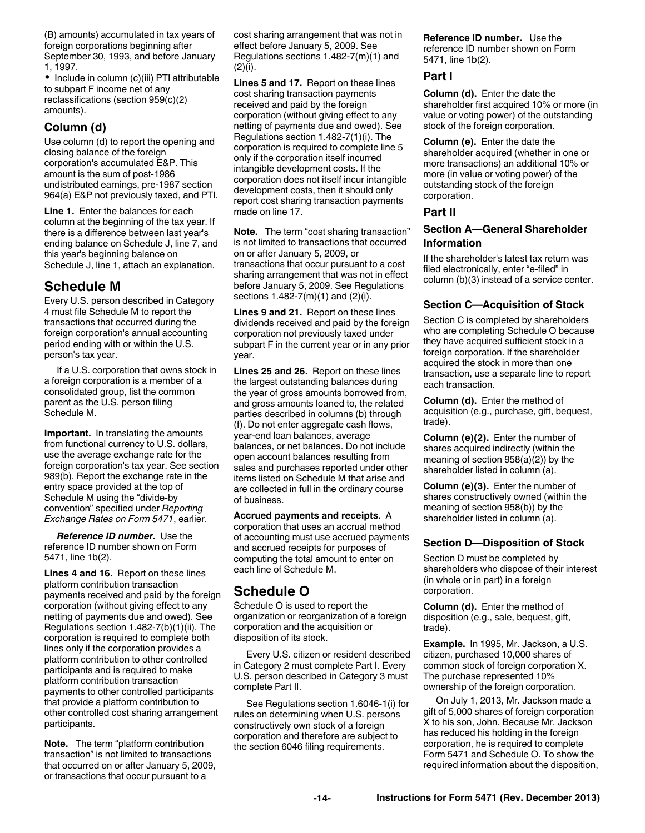(B) amounts) accumulated in tax years of foreign corporations beginning after September 30, 1993, and before January 1, 1997.

• Include in column (c)(iii) PTI attributable to subpart F income net of any reclassifications (section 959(c)(2) amounts).

### **Column (d)**

Use column (d) to report the opening and closing balance of the foreign corporation's accumulated E&P. This amount is the sum of post-1986 undistributed earnings, pre-1987 section 964(a) E&P not previously taxed, and PTI.

**Line 1.** Enter the balances for each column at the beginning of the tax year. If there is a difference between last year's ending balance on Schedule J, line 7, and this year's beginning balance on Schedule J, line 1, attach an explanation.

# **Schedule M**

Every U.S. person described in Category 4 must file Schedule M to report the transactions that occurred during the foreign corporation's annual accounting period ending with or within the U.S. person's tax year.

If a U.S. corporation that owns stock in a foreign corporation is a member of a consolidated group, list the common parent as the U.S. person filing Schedule M.

**Important.** In translating the amounts from functional currency to U.S. dollars, use the average exchange rate for the foreign corporation's tax year. See section 989(b). Report the exchange rate in the entry space provided at the top of Schedule M using the "divide-by convention" specified under *Reporting Exchange Rates on Form 5471*, earlier.

*Reference ID number.* Use the reference ID number shown on Form 5471, line 1b(2).

**Lines 4 and 16.** Report on these lines platform contribution transaction payments received and paid by the foreign corporation (without giving effect to any netting of payments due and owed). See Regulations section 1.482-7(b)(1)(ii). The corporation is required to complete both lines only if the corporation provides a platform contribution to other controlled participants and is required to make platform contribution transaction payments to other controlled participants that provide a platform contribution to other controlled cost sharing arrangement participants.

**Note.** The term "platform contribution transaction" is not limited to transactions that occurred on or after January 5, 2009, or transactions that occur pursuant to a

cost sharing arrangement that was not in effect before January 5, 2009. See Regulations sections 1.482-7(m)(1) and (2)(i).

**Lines 5 and 17.** Report on these lines cost sharing transaction payments received and paid by the foreign corporation (without giving effect to any netting of payments due and owed). See Regulations section 1.482-7(1)(i). The corporation is required to complete line 5 only if the corporation itself incurred intangible development costs. If the corporation does not itself incur intangible development costs, then it should only report cost sharing transaction payments made on line 17.

**Note.** The term "cost sharing transaction" is not limited to transactions that occurred on or after January 5, 2009, or transactions that occur pursuant to a cost sharing arrangement that was not in effect before January 5, 2009. See Regulations sections 1.482-7(m)(1) and (2)(i).

**Lines 9 and 21.** Report on these lines dividends received and paid by the foreign corporation not previously taxed under subpart F in the current year or in any prior year.

**Lines 25 and 26.** Report on these lines the largest outstanding balances during the year of gross amounts borrowed from, and gross amounts loaned to, the related parties described in columns (b) through (f). Do not enter aggregate cash flows, year-end loan balances, average balances, or net balances. Do not include open account balances resulting from sales and purchases reported under other items listed on Schedule M that arise and are collected in full in the ordinary course of business.

**Accrued payments and receipts.** A corporation that uses an accrual method of accounting must use accrued payments and accrued receipts for purposes of computing the total amount to enter on each line of Schedule M.

# **Schedule O**

Schedule O is used to report the organization or reorganization of a foreign corporation and the acquisition or disposition of its stock.

Every U.S. citizen or resident described in Category 2 must complete Part I. Every U.S. person described in Category 3 must complete Part II.

See Regulations section 1.6046-1(i) for rules on determining when U.S. persons constructively own stock of a foreign corporation and therefore are subject to the section 6046 filing requirements.

**Reference ID number.** Use the reference ID number shown on Form 5471, line 1b(2).

### **Part I**

**Column (d).** Enter the date the shareholder first acquired 10% or more (in value or voting power) of the outstanding stock of the foreign corporation.

**Column (e).** Enter the date the shareholder acquired (whether in one or more transactions) an additional 10% or more (in value or voting power) of the outstanding stock of the foreign corporation.

#### **Part II**

### **Section A—General Shareholder Information**

If the shareholder's latest tax return was filed electronically, enter "e-filed" in column (b)(3) instead of a service center.

### **Section C—Acquisition of Stock**

Section C is completed by shareholders who are completing Schedule O because they have acquired sufficient stock in a foreign corporation. If the shareholder acquired the stock in more than one transaction, use a separate line to report each transaction.

**Column (d).** Enter the method of acquisition (e.g., purchase, gift, bequest, trade).

**Column (e)(2).** Enter the number of shares acquired indirectly (within the meaning of section 958(a)(2)) by the shareholder listed in column (a).

**Column (e)(3).** Enter the number of shares constructively owned (within the meaning of section 958(b)) by the shareholder listed in column (a).

#### **Section D—Disposition of Stock**

Section D must be completed by shareholders who dispose of their interest (in whole or in part) in a foreign corporation.

**Column (d).** Enter the method of disposition (e.g., sale, bequest, gift, trade).

**Example.** In 1995, Mr. Jackson, a U.S. citizen, purchased 10,000 shares of common stock of foreign corporation X. The purchase represented 10% ownership of the foreign corporation.

On July 1, 2013, Mr. Jackson made a gift of 5,000 shares of foreign corporation X to his son, John. Because Mr. Jackson has reduced his holding in the foreign corporation, he is required to complete Form 5471 and Schedule O. To show the required information about the disposition,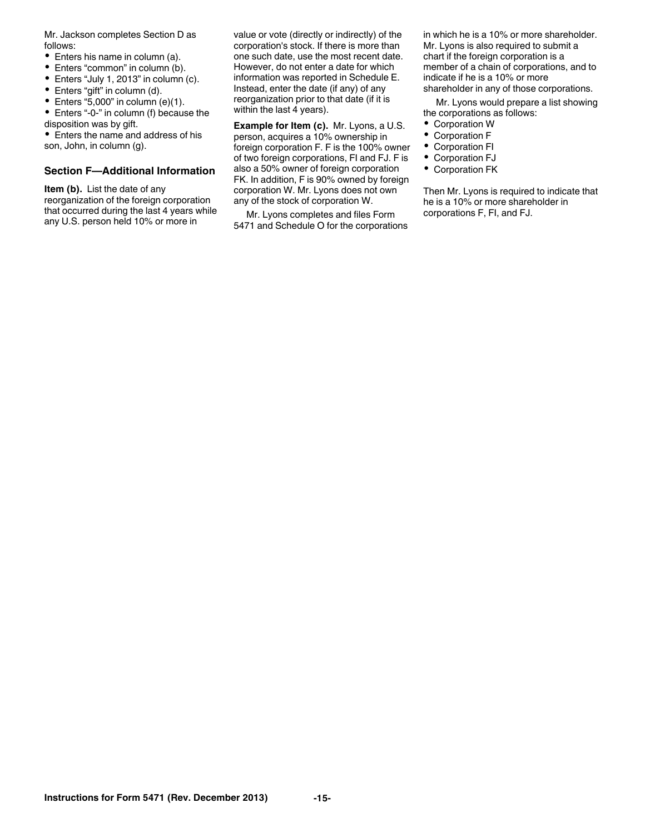Mr. Jackson completes Section D as follows:

- Enters his name in column (a).
- $\bullet$ Enters "common" in column (b).
- $\bullet$ Enters "July 1, 2013" in column (c).
- $\bullet$ Enters "gift" in column (d).
- $\bullet$  Enters "5,000" in column (e)(1).

Enters "-0-" in column (f) because the disposition was by gift.

Enters the name and address of his son, John, in column (g).

### **Section F—Additional Information**

**Item (b).** List the date of any reorganization of the foreign corporation that occurred during the last 4 years while any U.S. person held 10% or more in

value or vote (directly or indirectly) of the corporation's stock. If there is more than one such date, use the most recent date. However, do not enter a date for which information was reported in Schedule E. Instead, enter the date (if any) of any reorganization prior to that date (if it is within the last 4 years).

**Example for Item (c).** Mr. Lyons, a U.S. person, acquires a 10% ownership in foreign corporation F. F is the 100% owner of two foreign corporations, FI and FJ. F is also a 50% owner of foreign corporation FK. In addition, F is 90% owned by foreign corporation W. Mr. Lyons does not own any of the stock of corporation W.

Mr. Lyons completes and files Form 5471 and Schedule O for the corporations in which he is a 10% or more shareholder. Mr. Lyons is also required to submit a chart if the foreign corporation is a member of a chain of corporations, and to indicate if he is a 10% or more shareholder in any of those corporations.

Mr. Lyons would prepare a list showing the corporations as follows:

- Corporation W
- Corporation F
- Corporation FI
- Corporation FJ
- Corporation FK

Then Mr. Lyons is required to indicate that he is a 10% or more shareholder in corporations F, FI, and FJ.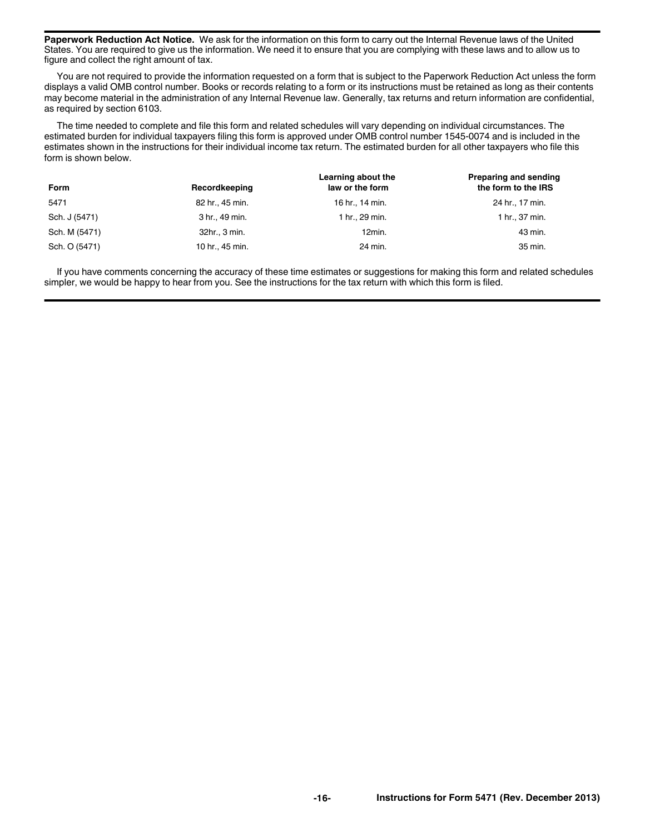**Paperwork Reduction Act Notice.** We ask for the information on this form to carry out the Internal Revenue laws of the United States. You are required to give us the information. We need it to ensure that you are complying with these laws and to allow us to figure and collect the right amount of tax.

You are not required to provide the information requested on a form that is subject to the Paperwork Reduction Act unless the form displays a valid OMB control number. Books or records relating to a form or its instructions must be retained as long as their contents may become material in the administration of any Internal Revenue law. Generally, tax returns and return information are confidential, as required by section 6103.

The time needed to complete and file this form and related schedules will vary depending on individual circumstances. The estimated burden for individual taxpayers filing this form is approved under OMB control number 1545-0074 and is included in the estimates shown in the instructions for their individual income tax return. The estimated burden for all other taxpayers who file this form is shown below.

| <b>Form</b>   | Recordkeeping   | Learning about the<br>law or the form | Preparing and sending<br>the form to the IRS |
|---------------|-----------------|---------------------------------------|----------------------------------------------|
| 5471          | 82 hr., 45 min. | 16 hr., 14 min.                       | 24 hr., 17 min.                              |
| Sch. J (5471) | 3 hr., 49 min.  | 1 hr., 29 min.                        | 1 hr., 37 min.                               |
| Sch. M (5471) | 32hr., 3 min.   | 12min.                                | 43 min.                                      |
| Sch. O (5471) | 10 hr., 45 min. | 24 min.                               | 35 min.                                      |

If you have comments concerning the accuracy of these time estimates or suggestions for making this form and related schedules simpler, we would be happy to hear from you. See the instructions for the tax return with which this form is filed.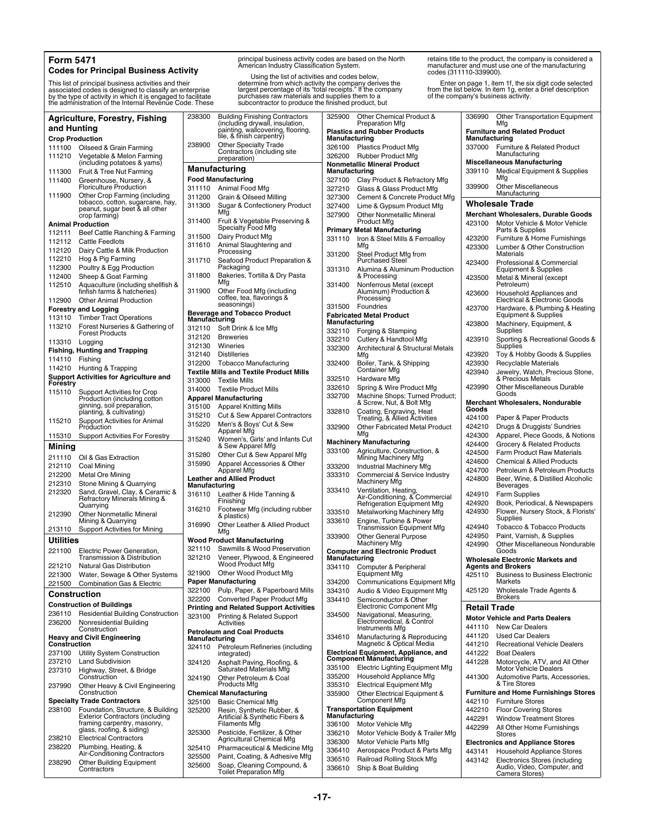#### **Form 5471**

#### **Codes for Principal Business Activity**

This list of principal business activities and their associated codes is designed to classify an enterprise by the type of activity in which it is engaged to facilitate the administration of the Internal Revenue Code. These

**Agriculture, Forestry, Fishing and Hunting Crop Production** 111100 Oilseed & Grain Farming<br>111210 Vegetable & Melon Farm Vegetable & Melon Farming (including potatoes & yams) 111300 Fruit & Tree Nut Farming 111400 Greenhouse, Nursery, & Floriculture Production 111900 Other Crop Farming (including tobacco, cotton, sugarcane, hay, peanut, sugar beet & all other crop farming) **Animal Production** 112111 Beef Cattle Ranching & Farming 112112 Cattle Feedlots 112120 Dairy Cattle & Milk Production<br>112210 Hog & Pig Farming Hog & Pig Farming 112300 Poultry & Egg Production 112400 Sheep & Goat Farming 112510 Aquaculture (including shellfish & finfish farms & hatcheries) 112900 Other Animal Production **Forestry and Logging**<br>113110 Timber Tract ( Timber Tract Operations 113210 Forest Nurseries & Gathering of Forest Products 113310 Logging **Fishing, Hunting and Trapping** 114110 Fishing 114210 Hunting & Trapping **Support Activities for Agriculture and Forestry** 115110 Support Activities for Crop Production (including cotton ginning, soil preparation, planting, & cultivating) 115210 Support Activities for Animal **Production** 115310 Support Activities For Forestry **Mining** 211110 Oil & Gas Extraction 212110 Coal Mining 212200 Metal Ore Mining 212310 Stone Mining & Quarrying<br>212320 Sand, Gravel, Clay, & Cera Sand, Gravel, Clay, & Ceramic & Refractory Minerals Mining & Quarrying 212390 Other Nonmetallic Mineral Mining & Quarrying 213110 Support Activities for Mining **Utilities** 221100 Electric Power Generation, Transmission & Distribution 221210 Natural Gas Distribution 221300 Water, Sewage & Other Systems 221500 Combination Gas & Electric **Construction Construction of Buildings** 236110 Residential Building Construction 236200 Nonresidential Building Construction **Heavy and Civil Engineering Construction** 237100 Utility System Construction 237210 Land Subdivision 237310 Highway, Street, & Bridge Construction 237990 Other Heavy & Civil Engineering **Construction Specialty Trade Contractors** 238100 Foundation, Structure, & Building Exterior Contractors (including framing carpentry, masonry, glass, roofing, & siding) 238210 Electrical Contractors 238220 Plumbing, Heating, & Air-Conditioning Contractors 238290 Other Building Equipment Contractors 238300 Building Finishing Contractors (including drywall, insulation, painting, wallcovering, flooring, tile, & finish carpentry) 238900 Other Specialty Trade Contractors (including site **Manufacturing Food Manufacturing** 311110 Animal Food Mfg 311200 Grain & Oilseed Milling 311300 Sugar & Confectionery Product 311400 Fruit & Vegetable Preserving & Specialty Food Mfg 311500 Dairy Product Mfg 311610 Animal Slaughtering and 311710 Seafood Product Preparation & 311800 Bakeries, Tortilla & Dry Pasta 311900 Other Food Mfg (including **Beverage and Tobacco Product Manufacturing** 312110 Soft Drink & Ice Mfg 312120 Breweries<br>312130 Wineries 312140 Distilleries 312200 Tobacco Manufacturing **Textile Mills and Textile Product Mills** 313000 Textile Mills<br>314000 Textile Prod **Apparel Manufacturing** 315100 Apparel Knitting Mills 315210 Cut & Sew Apparel Contractors 315220 Men's & Boys' Cut & Sew Apparel Mfg 315240 Women's, Girls' and Infants Cut 315280 Other Cut & Sew Apparel Mfg 315990 Apparel Accessories & Other Apparel Mfg **Leather and Allied Product Manufacturing** 316110 Leather & Hide Tanning & 316210 Footwear Mfg (including rubber 316990 Other Leather & Allied Product **Wood Product Manufacturing** 321110 Sawmills & Wood Preservation 321210 Veneer, Plywood, & Engineered Wood Product Mfg 321900 Other Wood Product Mfg **Paper Manufacturing** 322100 Pulp, Paper, & Paperboard Mills 322200 Converted Paper Product Mfg **Printing and Related Support Activities** 323100 Printing & Related Support **Petroleum and Coal Products Manufacturing**<br>324110 Petrol 324120 Asphalt Paving, Roofing, & Saturated Materials Mfg 324190 Other Petroleum & Coal **Chemical Manufacturing** 325100 Basic Chemical Mfg<br>325200 Resin, Synthetic Rub 325200 Resin, Synthetic Rubber, & Artificial & Synthetic Fibers & 325300 Pesticide, Fertilizer, & Other Agricultural Chemical Mfg 325410 Pharmaceutical & Medicine Mfg<br>325500 Paint. Coating. & Adhesive Mfg 325600 Soap, Cleaning Compound, & Toilet Preparation Mfg

principal business activity codes are based on the North American Industry Classification System.

Using the list of activities and codes below, determine from which activity the company derives the largest percentage of its "total receipts." If the company purchases raw materials and supplies them to a subcontractor to produce the finished product, but

preparation)

Processing

Packaging

Wineries

coffee, tea, flavorings & seasonings)

**Textile Product Mills** 

& Sew Apparel Mfg

Finishing

& plastics)

**Activities** 

integrated)

Products Mfg

Filaments Mfg

Petroleum Refineries (including

Paint, Coating, & Adhesive Mfg

Mfg

Mfg

Mfc

retains title to the product, the company is considered a manufacturer and must use one of the manufacturing codes (311110-339900).

Enter on page 1, item 1f, the six digit code selected from the list below. In item 1g, enter a brief description of the company's business activity.

| 325900           | Other Chemical Product &<br><b>Preparation Mfg</b>                       | 336990              | Other Transportation Equipment<br>Mfg                                |
|------------------|--------------------------------------------------------------------------|---------------------|----------------------------------------------------------------------|
| Manufacturing    | <b>Plastics and Rubber Products</b>                                      | Manufacturing       | <b>Furniture and Related Product</b>                                 |
| 326100           | <b>Plastics Product Mfg</b>                                              | 337000              | Furniture & Related Product                                          |
| 326200           | Rubber Product Mfg                                                       |                     | Manufacturing                                                        |
| Manufacturing    | <b>Nonmetallic Mineral Product</b>                                       | 339110              | <b>Miscellaneous Manufacturing</b><br>Medical Equipment & Supplies   |
| 327100           | Clay Product & Refractory Mfg                                            |                     | Mtg                                                                  |
| 327210           | Glass & Glass Product Mfg                                                | 339900              | <b>Other Miscellaneous</b><br>Manufacturing                          |
| 327300           | Cement & Concrete Product Mfg                                            |                     |                                                                      |
| 327400           | Lime & Gypsum Product Mfg                                                |                     | <b>Wholesale Trade</b>                                               |
| 327900           | <b>Other Nonmetallic Mineral</b><br><b>Product Mfg</b>                   |                     | Merchant Wholesalers, Durable Goods<br>Motor Vehicle & Motor Vehicle |
|                  | <b>Primary Metal Manufacturing</b>                                       | 423100              | Parts & Supplies                                                     |
| 331110           | Iron & Steel Mills & Ferroalloy                                          | 423200              | Furniture & Home Furnishings                                         |
| 331200           | Mfg<br>Steel Product Mfg from                                            | 423300              | Lumber & Other Construction<br>Materials                             |
|                  | <b>Purchased Steel</b>                                                   | 423400              | Professional & Commercial                                            |
| 331310           | Alumina & Aluminum Production                                            |                     | Equipment & Supplies                                                 |
| 331400           | & Processing<br>Nonferrous Metal (except                                 | 423500              | Metal & Mineral (except<br>Petroleum)                                |
|                  | Aluminum) Production &<br>Processing                                     | 423600              | Household Appliances and<br>Electrical & Electronic Goods            |
| 331500           | Foundries<br><b>Fabricated Metal Product</b>                             | 423700              | Hardware, & Plumbing & Heating<br>Equipment & Supplies               |
| Manufacturing    |                                                                          | 423800              | Machinery, Equipment, &                                              |
| 332110           | Forging & Stamping                                                       |                     | Supplies                                                             |
| 332210<br>332300 | Cutlery & Handtool Mfg<br>Architectural & Structural Metals              | 423910              | Sporting & Recreational Goods &<br>Supplies                          |
|                  | Mfg                                                                      | 423920              | Toy & Hobby Goods & Supplies                                         |
| 332400           | Boiler, Tank, & Shipping                                                 | 423930              | Recyclable Materials                                                 |
| 332510           | Container Mfg<br>Hardware Mfg                                            | 423940              | Jewelry, Watch, Precious Stone,<br>& Precious Metals                 |
| 332610           | Spring & Wire Product Mfg                                                | 423990              | Other Miscellaneous Durable                                          |
| 332700           | Machine Shops; Turned Product;                                           |                     | Goods                                                                |
|                  | & Screw, Nut, & Bolt Mfg                                                 |                     | Merchant Wholesalers, Nondurable                                     |
| 332810           | Coating, Engraving, Heat                                                 | Goods               |                                                                      |
|                  | Treating, & Allied Activities                                            | 424100              | Paper & Paper Products                                               |
| 332900           | <b>Other Fabricated Metal Product</b><br>Mfg                             | 424210              | Drugs & Druggists' Sundries                                          |
|                  | <b>Machinery Manufacturing</b>                                           | 424300<br>424400    | Apparel, Piece Goods, & Notions<br>Grocery & Related Products        |
| 333100           | Agriculture, Construction, &                                             | 424500              | <b>Farm Product Raw Materials</b>                                    |
|                  | Mining Machinery Mfg                                                     | 424600              | <b>Chemical &amp; Allied Products</b>                                |
| 333200           | Industrial Machinery Mfg                                                 | 424700              | Petroleum & Petroleum Products                                       |
| 333310           | Commercial & Service Industry<br>Machinery Mfg                           | 424800              | Beer, Wine, & Distilled Alcoholic<br>Beverages                       |
| 333410           | Ventilation, Heating,                                                    | 424910              | Farm Supplies                                                        |
|                  | Air-Conditioning, & Commercial<br><b>Refrigeration Equipment Mfg</b>     | 424920              | Book, Periodical, & Newspapers                                       |
| 333510           | Metalworking Machinery Mfg                                               | 424930              | Flower, Nursery Stock, & Florists'                                   |
| 333610           | Engine, Turbine & Power                                                  |                     | Supplies                                                             |
|                  | Transmission Equipment Mfg                                               | 424940              | <b>Tobacco &amp; Tobacco Products</b>                                |
| 333900           | <b>Other General Purpose</b><br>Machinery Mfg                            | 424950<br>424990    | Paint, Varnish, & Supplies<br>Other Miscellaneous Nondurable         |
|                  | <b>Computer and Electronic Product</b>                                   |                     | Goods                                                                |
| Manufacturing    |                                                                          |                     | <b>Wholesale Electronic Markets and</b>                              |
| 334110           | Computer & Peripheral<br>Equipment Mfg                                   | 425110              | <b>Agents and Brokers</b><br><b>Business to Business Electronic</b>  |
| 334200           | Communications Equipment Mfg                                             |                     | Markets                                                              |
| 334310           | Audio & Video Equipment Mfg                                              | 425120              | Wholesale Trade Agents &                                             |
| 334410           | Semiconductor & Other<br>Electronic Component Mfg                        | <b>Retail Trade</b> | Brokers                                                              |
| 334500           |                                                                          |                     | <b>Motor Vehicle and Parts Dealers</b>                               |
|                  | Navigational, Measuring,<br>Electromedical, & Control<br>Instruments Mfg | 441110              | <b>New Car Dealers</b>                                               |
| 334610           | Manufacturing & Reproducing<br>Magnetic & Optical Media                  | 441120<br>441210    | <b>Used Car Dealers</b><br><b>Recreational Vehicle Dealers</b>       |
|                  | Electrical Equipment, Appliance, and                                     | 441222              | <b>Boat Dealers</b>                                                  |
|                  | <b>Component Manufacturing</b>                                           | 441228              | Motorcycle, ATV, and All Other                                       |
| 335100           | Electric Lighting Equipment Mfg                                          |                     | Motor Vehicle Dealers                                                |
| 335200           | Household Appliance Mfg                                                  | 441300              | Automotive Parts, Accessories,                                       |
| 335310           | <b>Electrical Equipment Mfg</b>                                          |                     | & Tire Stores<br><b>Furniture and Home Furnishings Stores</b>        |
| 335900           | Other Electrical Equipment &<br>Component Mfg                            | 442110              | <b>Furniture Stores</b>                                              |
|                  | <b>Transportation Equipment</b>                                          | 442210              | <b>Floor Covering Stores</b>                                         |
| Manufacturing    |                                                                          | 442291              | <b>Window Treatment Stores</b>                                       |
| 336100           | Motor Vehicle Mfg                                                        | 442299              | All Other Home Furnishings                                           |
| 336210           | Motor Vehicle Body & Trailer Mfg                                         |                     | Stores                                                               |
| 336300           | Motor Vehicle Parts Mfg                                                  |                     | <b>Electronics and Appliance Stores</b>                              |
| 336410           | Aerospace Product & Parts Mfg                                            | 443141              | Household Appliance Stores                                           |
| 336510<br>336610 | Railroad Rolling Stock Mfg<br>Ship & Boat Building                       | 443142              | Electronics Stores (including<br>Audio, Video, Computer, and         |
|                  |                                                                          |                     |                                                                      |

Camera Stores)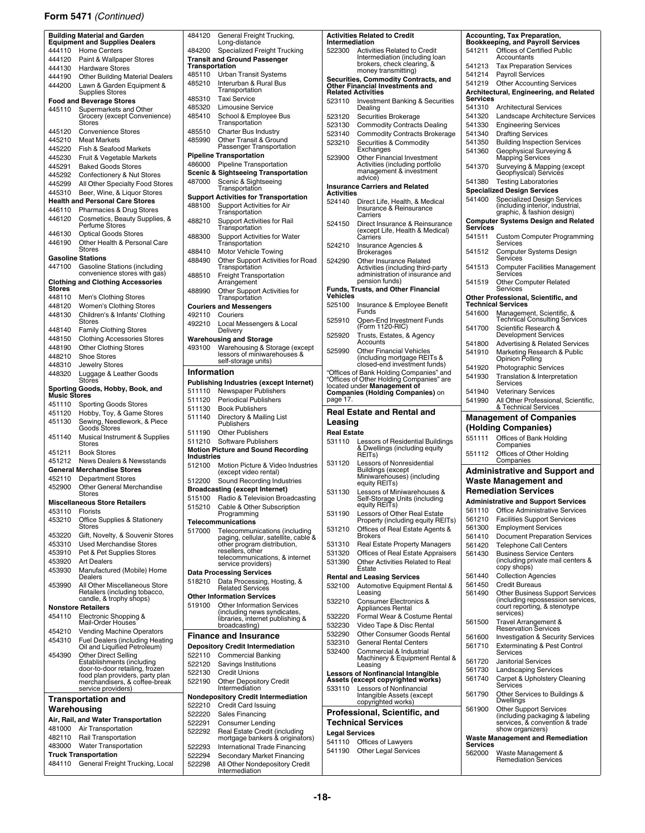### **Form 5471** *(Continued)*

|                  | <b>Building Material and Garden</b><br><b>Equipment and Supplies Dealers</b> | 48412          |
|------------------|------------------------------------------------------------------------------|----------------|
| 444110           | <b>Home Centers</b>                                                          | 48420          |
| 444120           | Paint & Wallpaper Stores                                                     | Transi         |
| 444130           | <b>Hardware Stores</b>                                                       | Transı         |
| 444190           | <b>Other Building Material Dealers</b>                                       | 48511          |
| 444200           | Lawn & Garden Equipment &                                                    | 48521          |
|                  | <b>Supplies Stores</b><br><b>Food and Beverage Stores</b>                    | 48531          |
| 445110           | Supermarkets and Other                                                       | 48532          |
|                  | Grocery (except Convenience)                                                 | 48541          |
|                  | Stores                                                                       |                |
| 445120           | <b>Convenience Stores</b>                                                    | 48551          |
| 445210<br>445220 | <b>Meat Markets</b><br>Fish & Seafood Markets                                | 48599          |
| 445230           | Fruit & Vegetable Markets                                                    | Pipelin        |
| 445291           | <b>Baked Goods Stores</b>                                                    | 48600          |
| 445292           | Confectionery & Nut Stores                                                   | Scenio         |
| 445299           | All Other Specialty Food Stores                                              | 48700          |
| 445310           | Beer, Wine, & Liquor Stores                                                  |                |
|                  | <b>Health and Personal Care Stores</b>                                       | Suppo<br>48810 |
| 446110           | Pharmacies & Drug Stores                                                     |                |
| 446120           | Cosmetics, Beauty Supplies, &<br>Perfume Stores                              | 48821          |
| 446130           | <b>Optical Goods Stores</b>                                                  |                |
| 446190           | Other Health & Personal Care                                                 | 48830          |
|                  | <b>Stores</b>                                                                | 48841          |
|                  | <b>Gasoline Stations</b>                                                     | 48849          |
| 447100           | <b>Gasoline Stations (including</b><br>convenience stores with gas)          |                |
|                  | <b>Clothing and Clothing Accessories</b>                                     | 48851          |
| Stores           |                                                                              | 48899          |
| 448110           | Men's Clothing Stores                                                        |                |
| 448120           | Women's Clothing Stores                                                      | Courie         |
| 448130           | Children's & Infants' Clothing<br><b>Stores</b>                              | 49211          |
| 448140           | <b>Family Clothing Stores</b>                                                | 49221          |
| 448150           | <b>Clothing Accessories Stores</b>                                           | Wareh          |
| 448190           | <b>Other Clothing Stores</b>                                                 | 49310          |
| 448210           | <b>Shoe Stores</b>                                                           |                |
| 448310           | Jewelry Stores                                                               |                |
| 448320           | Luggage & Leather Goods                                                      | Infor          |
|                  | <b>Stores</b>                                                                | <b>Publis</b>  |
|                  | Sporting Goods, Hobby, Book, and<br>Music Stores                             | 51111          |
|                  |                                                                              |                |
| 451110           |                                                                              | 51112          |
| 451120           | <b>Sporting Goods Stores</b><br>Hobby, Toy, & Game Stores                    | 51113          |
| 451130           |                                                                              | 51114          |
|                  | Sewing, Needlework, & Piece<br>Goods Stores                                  | 51119          |
| 451140           | Musical Instrument & Supplies                                                | 51121          |
| 451211           | <b>Stores</b><br><b>Book Stores</b>                                          | <b>Motior</b>  |
| 451212           | <b>News Dealers &amp; Newsstands</b>                                         | Indust         |
|                  | <b>General Merchandise Stores</b>                                            | 51210          |
| 452110           | <b>Department Stores</b>                                                     | 51220          |
| 452900           | <b>Other General Merchandise</b>                                             | Broad          |
|                  | Stores                                                                       | 51510          |
|                  | <b>Miscellaneous Store Retailers</b>                                         | 51521          |
| 453110<br>453210 | <b>Florists</b><br>Office Supplies & Stationery                              |                |
|                  | Stores                                                                       | Teleco         |
| 453220           | Gift, Novelty, & Souvenir Stores                                             | 51700          |
| 453310           | <b>Used Merchandise Stores</b>                                               |                |
| 453910           | Pet & Pet Supplies Stores                                                    |                |
| 453920           | Art Dealers                                                                  |                |
| 453930           | Manufactured (Mobile) Home<br>Dealers                                        | Data F         |
| 453990           | All Other Miscellaneous Store                                                | 51821          |
|                  |                                                                              | Other          |
|                  | Retailers (including tobacco,<br>candle, & trophy shops)                     | 51910          |
| 454110           | <b>Nonstore Retailers</b>                                                    |                |
|                  | Electronic Shopping &<br>Mail-Order Houses                                   |                |
| 454210           | Vending Machine Operators                                                    |                |
| 454310           | <b>Fuel Dealers (including Heating</b>                                       | Finar          |
| 454390           | Oil and Liquified Petroleum)                                                 | Depos<br>52211 |
|                  | Other Direct Selling<br>Establishments (including                            | 52212          |
|                  | door-to-door retailing, frozen                                               | 52213          |
|                  | food plan providers, party plan<br>merchandisers, & coffee-break             | 52219          |
|                  | service providers)                                                           |                |
|                  | <b>Transportation and</b>                                                    | Nonde          |
| Warehousing      |                                                                              | 52221          |
|                  | Air, Rail, and Water Transportation                                          | 52222          |
| 481000           | Air Transportation                                                           | 52229<br>52229 |
| 482110           | Rail Transportation                                                          |                |
| 483000           | <b>Water Transportation</b>                                                  | 52229          |
| 484110           | <b>Truck Transportation</b><br>General Freight Trucking, Local               | 52229<br>52229 |

| 484120                      | General Freight Trucking,<br>Long-distance                   | Activitie<br>Interme |
|-----------------------------|--------------------------------------------------------------|----------------------|
| 484200                      | Specialized Freight Trucking                                 | 522300               |
|                             | <b>Transit and Ground Passenger</b>                          |                      |
| Transportation              |                                                              |                      |
| 485110                      | Urban Transit Systems                                        | Securiti             |
| 485210                      | Interurban & Rural Bus<br>Transportation                     | Other Fi             |
| 485310                      | <b>Taxi Service</b>                                          | Related<br>523110    |
| 485320                      | <b>Limousine Service</b>                                     |                      |
| 485410                      | School & Employee Bus                                        | 523120               |
|                             | Transportation                                               | 523130               |
| 485510                      | <b>Charter Bus Industry</b>                                  | 523140               |
| 485990                      | Other Transit & Ground<br>Passenger Transportation           | 523210               |
|                             | <b>Pipeline Transportation</b>                               | 523900               |
| 486000                      | Pipeline Transportation                                      |                      |
|                             | <b>Scenic &amp; Sightseeing Transportation</b>               |                      |
| 487000                      | Scenic & Sightseeing<br>Transportation                       | Insuran              |
|                             | <b>Support Activities for Transportation</b>                 | Activitie            |
| 488100                      | Support Activities for Air                                   | 524140               |
|                             | Transportation                                               |                      |
| 488210                      | Support Activities for Rail                                  | 524150               |
| 488300                      | Transportation<br>Support Activities for Water               |                      |
|                             | Transportation                                               | 524210               |
| 488410                      | Motor Vehicle Towing                                         |                      |
| 488490                      | Other Support Activities for Road                            | 524290               |
|                             | Transportation                                               |                      |
| 488510                      | <b>Freight Transportation</b><br>Arrangement                 |                      |
| 488990                      | Other Support Activities for                                 | Funds, ⊺             |
|                             | Transportation                                               | Vehicles             |
|                             | <b>Couriers and Messengers</b>                               | 525100               |
| 492110                      | Couriers                                                     | 525910               |
| 492210                      | Local Messengers & Local<br>Delivery                         |                      |
|                             | <b>Warehousing and Storage</b>                               | 525920               |
| 493100                      | Warehousing & Storage (except                                | 525990               |
|                             | lessors of miniwarehouses &                                  |                      |
|                             | self-storage units)                                          |                      |
| Information                 |                                                              | "Offices<br>"Offices |
|                             | <b>Publishing Industries (except Internet)</b>               | located u            |
| 511110<br>511120            | Newspaper Publishers<br><b>Periodical Publishers</b>         | Compar<br>page 17.   |
|                             |                                                              |                      |
|                             |                                                              |                      |
| 511130                      | <b>Book Publishers</b>                                       | Real E               |
| 511140                      | Directory & Mailing List<br>Publishers                       | Leasin               |
| 511190                      | <b>Other Publishers</b>                                      | <b>Real Est</b>      |
| 511210                      | <b>Software Publishers</b>                                   | 531110               |
|                             | <b>Motion Picture and Sound Recording</b>                    |                      |
| <b>Industries</b><br>512100 |                                                              | 531120               |
|                             | Motion Picture & Video Industries<br>(except video rental)   |                      |
| 512200                      | Sound Recording Industries                                   |                      |
|                             | <b>Broadcasting (except Internet)</b>                        | 531130               |
| 515100                      | Radio & Television Broadcasting                              |                      |
| 515210                      | Cable & Other Subscription                                   |                      |
|                             | Programming<br>Telecommunications                            | 531190               |
| 517000                      | Telecommunications (including                                | 531210               |
|                             | paging, cellular, satellite, cable &                         |                      |
|                             | other program distribution,                                  | 531310               |
|                             | resellers, other<br>telecommunications, & internet           | 531320               |
|                             | service providers)                                           | 531390               |
|                             | <b>Data Processing Services</b>                              | Rental a             |
| 518210                      | Data Processing, Hosting, &<br><b>Related Services</b>       | 532100               |
|                             | <b>Other Information Services</b>                            |                      |
| 519100                      | <b>Other Information Services</b>                            | 532210               |
|                             | (including news syndicates,                                  | 532220               |
|                             | libraries, internet publishing &<br>broadcasting)            | 532230               |
|                             | <b>Finance and Insurance</b>                                 | 532290               |
|                             | <b>Depository Credit Intermediation</b>                      | 532310               |
| 522110                      | Commercial Banking                                           | 532400               |
| 522120                      | Savings Institutions                                         |                      |
| 522130                      | <b>Credit Unions</b>                                         | Lessors              |
| 522190                      | <b>Other Depository Credit</b>                               | Assets (             |
|                             | Intermediation                                               | 533110               |
| 522210                      | Nondepository Credit Intermediation                          |                      |
| 522220                      | Credit Card Issuing<br>Sales Financing                       | Profes               |
| 522291                      | Consumer Lending                                             | Techni               |
| 522292                      | Real Estate Credit (including                                | Legal Se             |
|                             | mortgage bankers & originators)                              | 541110               |
| 522293                      | International Trade Financing                                | 541190               |
| 522294<br>522298            | Secondary Market Financing<br>All Other Nondepository Credit |                      |

### **Activities Related to Credit**

| Intermediation               |                                                                                     | Bookk              |
|------------------------------|-------------------------------------------------------------------------------------|--------------------|
| 522300                       | <b>Activities Related to Credit</b>                                                 | 541211             |
|                              | Intermediation (including loan<br>brokers, check clearing, &                        | 541213             |
|                              | money transmitting)<br>Securities, Commodity Contracts, and                         | 541214             |
|                              | Other Financial Investments and                                                     | 541219             |
|                              | <b>Related Activities</b>                                                           | Archite<br>Service |
| 523110                       | <b>Investment Banking &amp; Securities</b><br>Dealing                               | 541310             |
| 523120                       | Securities Brokerage                                                                | 541320             |
| 523130                       | <b>Commodity Contracts Dealing</b>                                                  | 541330             |
| 523140                       | <b>Commodity Contracts Brokerage</b>                                                | 541340             |
| 523210                       | Securities & Commodity<br>Exchanges                                                 | 541350<br>541360   |
| 523900                       | Other Financial Investment                                                          |                    |
|                              | Activities (including portfolio<br>management & investment                          | 541370             |
|                              | advice)                                                                             | 541380             |
| Activities                   | <b>Insurance Carriers and Related</b>                                               | Specia             |
| 524140                       | Direct Life, Health, & Medical                                                      | 541400             |
|                              | Insurance & Reinsurance                                                             |                    |
| 524150                       | Carriers<br>Direct Insurance & Reinsurance                                          | Compu              |
|                              | (except Life, Health & Medical)                                                     | Service<br>541511  |
| 524210                       | Carriers<br>Insurance Agencies &                                                    |                    |
|                              | Brokerages                                                                          | 541512             |
| 524290                       | <b>Other Insurance Related</b>                                                      | 541513             |
|                              | Activities (including third-party<br>administration of insurance and                |                    |
|                              | pension funds)                                                                      | 541519             |
| Vehicles                     | Funds, Trusts, and Other Financial                                                  |                    |
| 525100                       | Insurance & Employee Benefit                                                        | Other F<br>Techni  |
|                              | Funds                                                                               | 541600             |
| 525910                       | Open-End Investment Funds<br>(Form 1120-RIC)                                        | 541700             |
| 525920                       | Trusts, Estates, & Agency                                                           |                    |
|                              | Accounts                                                                            | 541800             |
| 525990                       | <b>Other Financial Vehicles</b><br>(including mortgage REITs &                      | 541910             |
|                              | closed-end investment funds)                                                        | 541920             |
|                              | "Offices of Bank Holding Companies" and<br>"Offices of Other Holding Companies" are | 541930             |
|                              | located under Management of                                                         |                    |
| page 17.                     | <b>Companies (Holding Companies)</b> on                                             | 541940<br>541990   |
|                              |                                                                                     |                    |
|                              |                                                                                     |                    |
|                              | Real Estate and Rental and                                                          | Mana               |
| Leasing                      |                                                                                     | (Hold              |
| <b>Real Estate</b><br>531110 |                                                                                     | 551111             |
|                              | Lessors of Residential Buildings<br>& Dwellings (including equity                   |                    |
|                              | REIT <sub>S</sub> )                                                                 | 551112             |
| 531120                       | Lessors of Nonresidential<br>Buildings (except                                      | Admiı              |
|                              | Miniwarehouses) (including                                                          | Wasto              |
| 531130                       | equity REITs)<br>Lessors of Miniwarehouses &                                        | Reme               |
|                              | Self-Storage Units (including                                                       | Admini             |
|                              | equity REITs)                                                                       | 561110             |
| 531190                       | Lessors of Other Real Estate<br>Property (including equity REITs)                   | 561210             |
| 531210                       | Offices of Real Estate Agents &                                                     | 561300             |
|                              | <b>Brokers</b>                                                                      | 561410             |
| 531310<br>531320             | <b>Real Estate Property Managers</b><br>Offices of Real Estate Appraisers           | 561420<br>561430   |
| 531390                       | Other Activities Related to Real                                                    |                    |
|                              | Estate                                                                              |                    |
|                              | <b>Rental and Leasing Services</b>                                                  | 561440<br>561450   |
| 532100                       | Automotive Equipment Rental &<br>Leasing                                            | 561490             |
| 532210                       | Consumer Electronics &                                                              |                    |
|                              | Appliances Rental                                                                   |                    |
| 532220<br>532230             | Formal Wear & Costume Rental<br>Video Tape & Disc Rental                            | 561500             |
| 532290                       | Other Consumer Goods Rental                                                         |                    |
| 532310                       | <b>General Rental Centers</b>                                                       | 561600<br>561710   |
| 532400                       | Commercial & Industrial                                                             |                    |
|                              | Machinery & Equipment Rental &<br>Leasing                                           | 561720             |
|                              | <b>Lessors of Nonfinancial Intangible</b>                                           | 561730             |
| 533110                       | Assets (except copyrighted works)<br>Lessors of Nonfinancial                        | 561740             |
|                              | Intangible Assets (except                                                           | 561790             |
|                              | copyrighted works)                                                                  | 561900             |
|                              | Professional, Scientific, and                                                       |                    |
|                              | <b>Technical Services</b>                                                           |                    |
| <b>Legal Services</b>        |                                                                                     | Waste              |
| 541110<br>541190             | Offices of Lawyers<br><b>Other Legal Services</b>                                   | Service<br>562000  |

|          |                    | <b>Accounting, Tax Preparation,</b><br><b>Bookkeeping, and Payroll Services</b>              |
|----------|--------------------|----------------------------------------------------------------------------------------------|
|          | 541211             | Offices of Certified Public                                                                  |
|          | 541213             | Accountants<br><b>Tax Preparation Services</b>                                               |
|          | 541214             | <b>Payroll Services</b>                                                                      |
|          | 541219             | <b>Other Accounting Services</b>                                                             |
| s        | Services           | Architectural, Engineering, and Related                                                      |
|          | 541310             | <b>Architectural Services</b>                                                                |
|          | 541320             | Landscape Architecture Services                                                              |
| е        | 541330<br>541340   | <b>Engineering Services</b><br><b>Drafting Services</b>                                      |
|          | 541350             | <b>Building Inspection Services</b>                                                          |
|          | 541360             | Geophysical Surveying &<br><b>Mapping Services</b>                                           |
|          | 541370             | Surveying & Mapping (except                                                                  |
|          | 541380             | Geophysical) Services<br><b>Testing Laboratories</b>                                         |
|          |                    | Specialized Design Services                                                                  |
|          | 541400             | <b>Specialized Design Services</b>                                                           |
|          |                    | (including interior, industrial,<br>graphic, & fashion design)                               |
|          | Services           | <b>Computer Systems Design and Related</b>                                                   |
|          | 541511             | <b>Custom Computer Programming</b>                                                           |
|          | 541512             | Services<br>Computer Systems Design                                                          |
|          | 541513             | Services<br><b>Computer Facilities Management</b>                                            |
|          |                    | Services                                                                                     |
|          | 541519             | <b>Other Computer Related</b><br>Services                                                    |
|          |                    | Other Professional, Scientific, and<br>Technical Services                                    |
|          | 541600             | Management, Scientific, &                                                                    |
|          | 541700             | Technical Consulting Services<br>Scientific Research &                                       |
|          |                    | <b>Development Services</b>                                                                  |
|          | 541800<br>541910   | <b>Advertising &amp; Related Services</b><br>Marketing Research & Public                     |
|          |                    | Opinion Polling                                                                              |
|          | 541920<br>541930   | <b>Photographic Services</b><br>Translation & Interpretation                                 |
|          |                    | Services                                                                                     |
|          | 541940             | <b>Veterinary Services</b>                                                                   |
|          | 541990             | All Other Professional, Scientific,<br>& Technical Services                                  |
|          |                    |                                                                                              |
|          |                    | <b>Management of Companies</b>                                                               |
|          |                    | (Holding Companies)                                                                          |
| 5        | 551111             | Offices of Bank Holding<br>Companies                                                         |
|          | 551112             | Offices of Other Holding<br>Companies                                                        |
|          |                    | <b>Administrative and Support and</b>                                                        |
|          |                    | Waste Management and                                                                         |
|          |                    | <b>Remediation Services</b>                                                                  |
|          | 561110             | <b>Administrative and Support Services</b><br><b>Office Administrative Services</b>          |
|          | 561210             | <b>Facilities Support Services</b>                                                           |
|          | 561300             | <b>Employment Services</b>                                                                   |
|          | 561410<br>561420   | <b>Document Preparation Services</b>                                                         |
| s)<br>rs | 561430             | <b>Telephone Call Centers</b><br><b>Business Service Centers</b>                             |
|          |                    | (including private mail centers &<br>copy shops)                                             |
|          | 561440             | <b>Collection Agencies</b>                                                                   |
| L        | 561450             | Credit Bureaus                                                                               |
|          | 561490             | Other Business Support Services<br>(including repossession services,                         |
|          |                    | court reporting, & stenotype<br>services)                                                    |
|          | 561500             |                                                                                              |
|          | 561600             | Travel Arrangement &<br>Reservation Services<br><b>Investigation &amp; Security Services</b> |
|          | 561710             | <b>Exterminating &amp; Pest Control</b><br>Services                                          |
| &        | 561720             | Janitorial Services                                                                          |
|          | 561730             | <b>Landscaping Services</b>                                                                  |
|          | 561740             | Carpet & Upholstery Cleaning<br>Services                                                     |
|          | 561790             | Other Services to Buildings &<br>Dwellings                                                   |
|          | 561900             | <b>Other Support Services</b>                                                                |
|          |                    | (including packaging & labeling<br>services, & convention & trade                            |
|          |                    | show organizers)                                                                             |
|          | Services<br>562000 | Waste Management and Remediation<br>Waste Management &                                       |